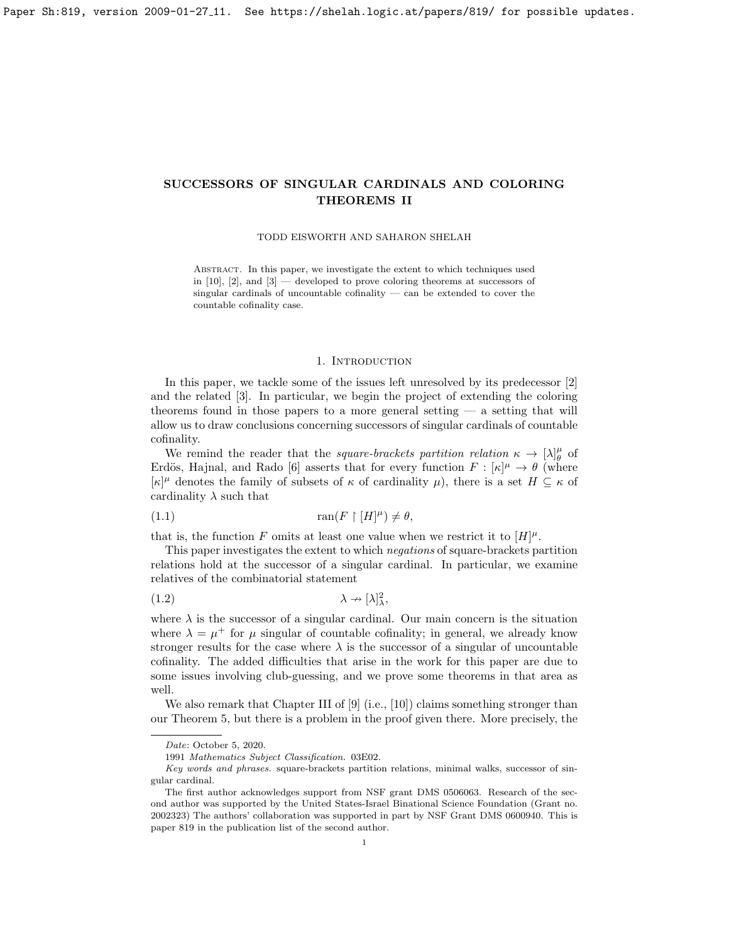TODD EISWORTH AND SAHARON SHELAH

Abstract. In this paper, we investigate the extent to which techniques used in  $[10]$ ,  $[2]$ , and  $[3]$  — developed to prove coloring theorems at successors of singular cardinals of uncountable cofinality — can be extended to cover the countable cofinality case.

### 1. INTRODUCTION

In this paper, we tackle some of the issues left unresolved by its predecessor [\[2\]](#page-21-0) and the related [\[3\]](#page-21-1). In particular, we begin the project of extending the coloring theorems found in those papers to a more general setting  $-$  a setting that will allow us to draw conclusions concerning successors of singular cardinals of countable cofinality.

We remind the reader that the *square-brackets partition relation*  $\kappa \to [\lambda]_{\theta}^{\mu}$  of Erdös, Hajnal, and Rado [\[6\]](#page-21-2) asserts that for every function  $F : [\kappa]^{\mu} \to \theta$  (where  $[\kappa]^\mu$  denotes the family of subsets of  $\kappa$  of cardinality  $\mu$ ), there is a set  $H \subseteq \kappa$  of cardinality  $\lambda$  such that

$$
(1.1)\qquad \qquad \tan(F \restriction [H]^\mu) \neq \theta,
$$

that is, the function F omits at least one value when we restrict it to  $[H]^{\mu}$ .

This paper investigates the extent to which negations of square-brackets partition relations hold at the successor of a singular cardinal. In particular, we examine relatives of the combinatorial statement

$$
(1.2)\quad \lambda \to [\lambda]_{\lambda}^2,
$$

where  $\lambda$  is the successor of a singular cardinal. Our main concern is the situation where  $\lambda = \mu^+$  for  $\mu$  singular of countable cofinality; in general, we already know stronger results for the case where  $\lambda$  is the successor of a singular of uncountable cofinality. The added difficulties that arise in the work for this paper are due to some issues involving club-guessing, and we prove some theorems in that area as well.

We also remark that Chapter III of  $[9]$  (i.e.,  $[10]$ ) claims something stronger than our Theorem [5,](#page-20-0) but there is a problem in the proof given there. More precisely, the

Date: October 5, 2020.

<sup>1991</sup> Mathematics Subject Classification. 03E02.

Key words and phrases. square-brackets partition relations, minimal walks, successor of singular cardinal.

The first author acknowledges support from NSF grant DMS 0506063. Research of the second author was supported by the United States-Israel Binational Science Foundation (Grant no. 2002323) The authors' collaboration was supported in part by NSF Grant DMS 0600940. This is paper 819 in the publication list of the second author.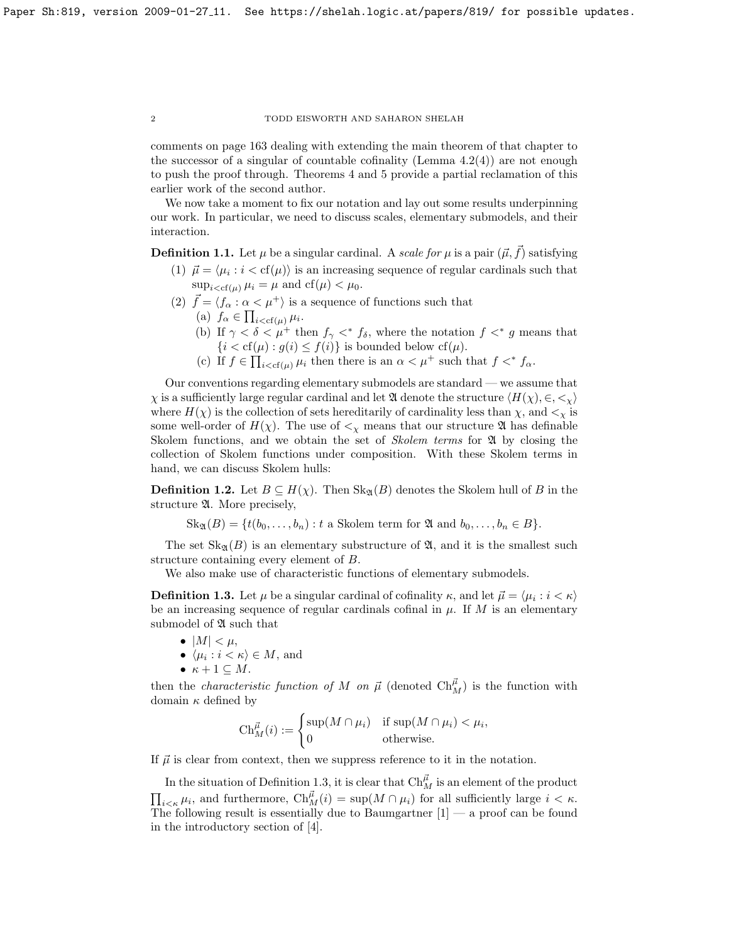comments on page 163 dealing with extending the main theorem of that chapter to the successor of a singular of countable cofinality (Lemma  $4.2(4)$ ) are not enough to push the proof through. Theorems [4](#page-17-0) and [5](#page-20-0) provide a partial reclamation of this earlier work of the second author.

We now take a moment to fix our notation and lay out some results underpinning our work. In particular, we need to discuss scales, elementary submodels, and their interaction.

**Definition 1.1.** Let  $\mu$  be a singular cardinal. A scale for  $\mu$  is a pair  $(\vec{\mu}, f)$  satisfying

- (1)  $\vec{\mu} = \langle \mu_i : i < \text{cf}(\mu) \rangle$  is an increasing sequence of regular cardinals such that  $\sup_{i < \text{cf}(\mu)} \mu_i = \mu$  and  $cf(\mu) < \mu_0$ .
- (2)  $\vec{f} = \langle f_{\alpha} : \alpha < \mu^+ \rangle$  is a sequence of functions such that
	- (a)  $f_{\alpha} \in \prod_{i < cf(\mu)} \mu_i$ .
	- (b) If  $\gamma < \delta < \mu^+$  then  $f_{\gamma} <^* f_{\delta}$ , where the notation  $f <^* g$  means that  ${i < cf(\mu) : g(i) \le f(i)}$  is bounded below  $cf(\mu)$ .
	- (c) If  $f \in \prod_{i < \text{cf}(\mu)} \mu_i$  then there is an  $\alpha < \mu^+$  such that  $f <^* f_\alpha$ .

Our conventions regarding elementary submodels are standard — we assume that  $\chi$  is a sufficiently large regular cardinal and let  $\mathfrak A$  denote the structure  $\langle H(\chi), \in, \lt,\chi \rangle$ where  $H(\chi)$  is the collection of sets hereditarily of cardinality less than  $\chi$ , and  $\langle \chi \rangle$  is some well-order of  $H(\chi)$ . The use of  $\lt_{\chi}$  means that our structure  $\mathfrak A$  has definable Skolem functions, and we obtain the set of *Skolem terms* for  $\mathfrak{A}$  by closing the collection of Skolem functions under composition. With these Skolem terms in hand, we can discuss Skolem hulls:

**Definition 1.2.** Let  $B \subseteq H(\chi)$ . Then  $\text{Sk}_{\mathfrak{A}}(B)$  denotes the Skolem hull of B in the structure  $\mathfrak A$ . More precisely,

 $\text{Sk}_{\mathfrak{A}}(B) = \{t(b_0, \ldots, b_n) : t \text{ a Skolem term for } \mathfrak{A} \text{ and } b_0, \ldots, b_n \in B\}.$ 

The set  $\text{Sk}_{\mathfrak{A}}(B)$  is an elementary substructure of  $\mathfrak{A}$ , and it is the smallest such structure containing every element of B.

We also make use of characteristic functions of elementary submodels.

<span id="page-1-0"></span>**Definition 1.3.** Let  $\mu$  be a singular cardinal of cofinality  $\kappa$ , and let  $\vec{\mu} = \langle \mu_i : i < \kappa \rangle$ be an increasing sequence of regular cardinals cofinal in  $\mu$ . If M is an elementary submodel of  $\mathfrak A$  such that

- $|M| < \mu$ ,
- $\langle \mu_i : i < \kappa \rangle \in M$ , and
- $\kappa + 1 \subseteq M$ .

then the *characteristic function of* M on  $\vec{\mu}$  (denoted  $Ch_{M}^{\vec{\mu}}$ ) is the function with domain  $\kappa$  defined by

$$
\mathrm{Ch}_M^{\vec{\mu}}(i) := \begin{cases} \sup(M \cap \mu_i) & \text{if } \sup(M \cap \mu_i) < \mu_i, \\ 0 & \text{otherwise.} \end{cases}
$$

If  $\vec{\mu}$  is clear from context, then we suppress reference to it in the notation.

In the situation of Definition [1.3,](#page-1-0) it is clear that  $\mathrm{Ch}^{\vec{\mu}}_M$  is an element of the product  $\prod_{i<\kappa}\mu_i$ , and furthermore,  $\text{Ch}_M^{\vec{\mu}}(i) = \sup(M \cap \mu_i)$  for all sufficiently large  $i < \kappa$ . The following result is essentially due to Baumgartner  $[1]$  — a proof can be found in the introductory section of [\[4\]](#page-21-4).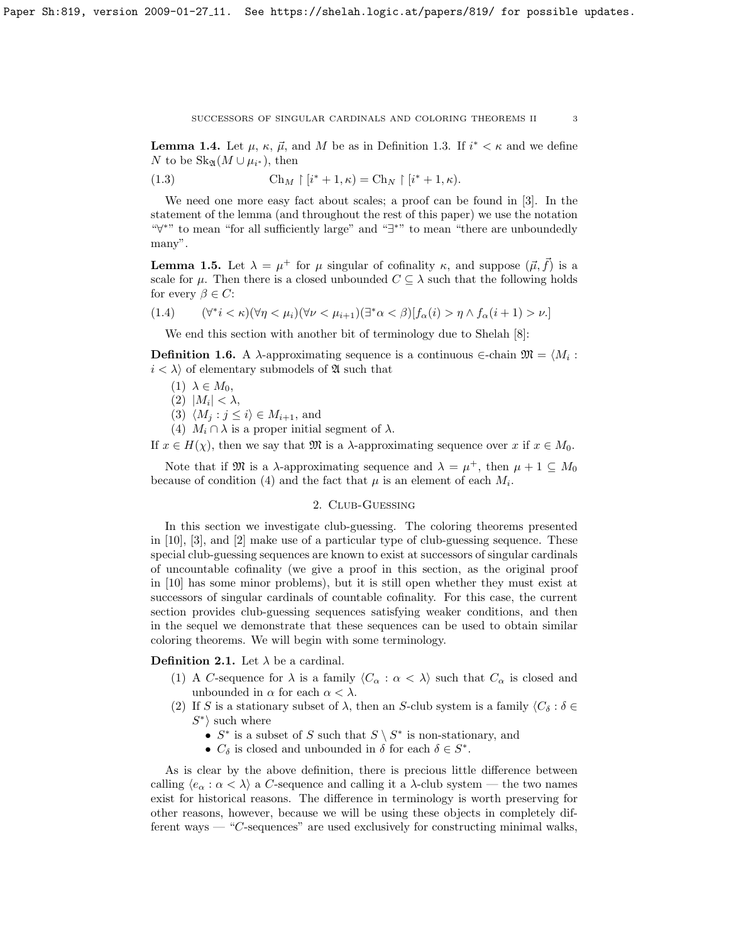SUCCESSORS OF SINGULAR CARDINALS AND COLORING THEOREMS II  $\hspace{1cm} 3$ 

<span id="page-2-1"></span>**Lemma 1.4.** Let  $\mu$ ,  $\kappa$ ,  $\vec{\mu}$ , and M be as in Definition [1.3.](#page-1-0) If  $i^* < \kappa$  and we define N to be  $\operatorname{Sk}_{\mathfrak{A}}(M \cup \mu_{i^*})$ , then

(1.3) 
$$
\operatorname{Ch}_M \upharpoonright [i^* + 1, \kappa) = \operatorname{Ch}_N \upharpoonright [i^* + 1, \kappa).
$$

We need one more easy fact about scales; a proof can be found in [\[3\]](#page-21-1). In the statement of the lemma (and throughout the rest of this paper) we use the notation "∀ <sup>∗</sup>" to mean "for all sufficiently large" and "∃ <sup>∗</sup>" to mean "there are unboundedly many".

<span id="page-2-0"></span>**Lemma 1.5.** Let  $\lambda = \mu^+$  for  $\mu$  singular of cofinality  $\kappa$ , and suppose  $(\vec{\mu}, \vec{f})$  is a scale for  $\mu$ . Then there is a closed unbounded  $C \subseteq \lambda$  such that the following holds for every  $\beta \in C$ :

$$
(1.4) \qquad (\forall^* i < \kappa)(\forall \eta < \mu_i)(\forall \nu < \mu_{i+1})(\exists^* \alpha < \beta)[f_\alpha(i) > \eta \wedge f_\alpha(i+1) > \nu.]
$$

We end this section with another bit of terminology due to Shelah [\[8\]](#page-22-2):

**Definition 1.6.** A  $\lambda$ -approximating sequence is a continuous  $\in$ -chain  $\mathfrak{M} = \langle M_i :$  $i < \lambda$  of elementary submodels of  $\mathfrak{A}$  such that

$$
(1) \ \lambda \in M_0,
$$

(2)  $|M_i| < \lambda$ ,

(3)  $\langle M_j : j \leq i \rangle \in M_{i+1}$ , and

(4)  $M_i \cap \lambda$  is a proper initial segment of  $\lambda$ .

If  $x \in H(\chi)$ , then we say that M is a  $\lambda$ -approximating sequence over x if  $x \in M_0$ .

Note that if  $\mathfrak{M}$  is a  $\lambda$ -approximating sequence and  $\lambda = \mu^+$ , then  $\mu + 1 \subseteq M_0$ because of condition (4) and the fact that  $\mu$  is an element of each  $M_i$ .

## 2. Club-Guessing

In this section we investigate club-guessing. The coloring theorems presented in [\[10\]](#page-22-0), [\[3\]](#page-21-1), and [\[2\]](#page-21-0) make use of a particular type of club-guessing sequence. These special club-guessing sequences are known to exist at successors of singular cardinals of uncountable cofinality (we give a proof in this section, as the original proof in [\[10\]](#page-22-0) has some minor problems), but it is still open whether they must exist at successors of singular cardinals of countable cofinality. For this case, the current section provides club-guessing sequences satisfying weaker conditions, and then in the sequel we demonstrate that these sequences can be used to obtain similar coloring theorems. We will begin with some terminology.

**Definition 2.1.** Let  $\lambda$  be a cardinal.

- (1) A C-sequence for  $\lambda$  is a family  $\langle C_{\alpha} : \alpha < \lambda \rangle$  such that  $C_{\alpha}$  is closed and unbounded in  $\alpha$  for each  $\alpha < \lambda$ .
- (2) If S is a stationary subset of  $\lambda$ , then an S-club system is a family  $\langle C_\delta : \delta \in$  $S^*$  such where
	- $S^*$  is a subset of S such that  $S \setminus S^*$  is non-stationary, and
	- $C_{\delta}$  is closed and unbounded in  $\delta$  for each  $\delta \in S^*$ .

As is clear by the above definition, there is precious little difference between calling  $\langle e_{\alpha} : \alpha < \lambda \rangle$  a C-sequence and calling it a  $\lambda$ -club system — the two names exist for historical reasons. The difference in terminology is worth preserving for other reasons, however, because we will be using these objects in completely different ways — "C-sequences" are used exclusively for constructing minimal walks,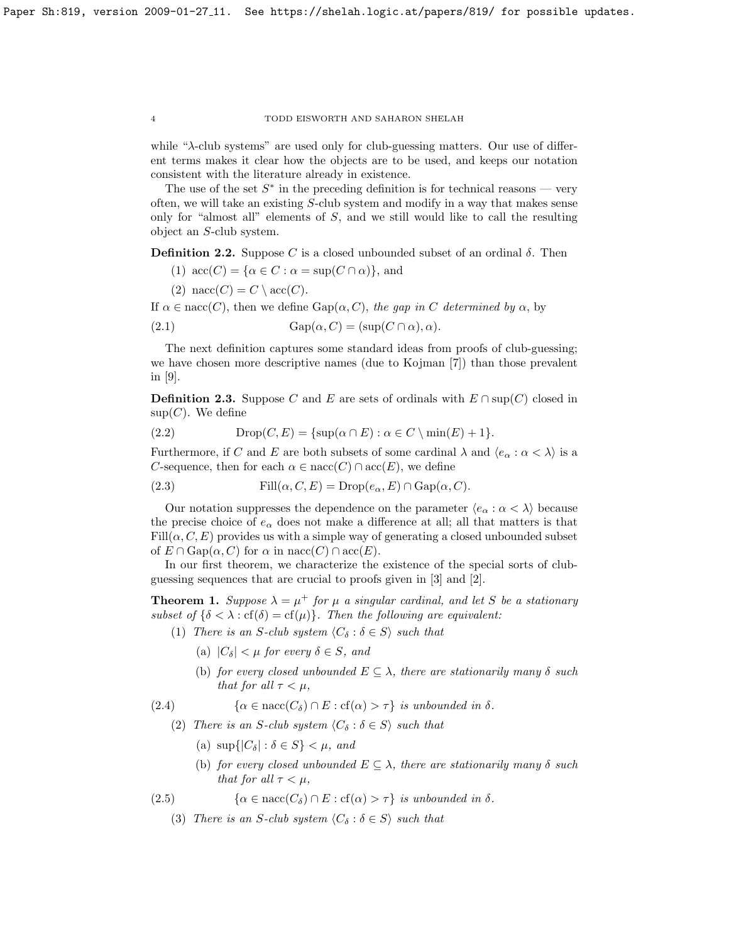while "λ-club systems" are used only for club-guessing matters. Our use of different terms makes it clear how the objects are to be used, and keeps our notation consistent with the literature already in existence.

The use of the set  $S^*$  in the preceding definition is for technical reasons — very often, we will take an existing S-club system and modify in a way that makes sense only for "almost all" elements of S, and we still would like to call the resulting object an S-club system.

**Definition 2.2.** Suppose C is a closed unbounded subset of an ordinal  $\delta$ . Then

(1)  $\mathrm{acc}(C) = {\alpha \in C : \alpha = \sup(C \cap \alpha)}$ , and

(2) nacc $(C) = C \setminus \text{acc}(C)$ .

If  $\alpha \in \text{nacc}(C)$ , then we define  $\text{Gap}(\alpha, C)$ , the gap in C determined by  $\alpha$ , by

(2.1) 
$$
Gap(\alpha, C) = (sup(C \cap \alpha), \alpha).
$$

The next definition captures some standard ideas from proofs of club-guessing; we have chosen more descriptive names (due to Kojman [\[7\]](#page-21-5)) than those prevalent in [\[9\]](#page-22-1).

**Definition 2.3.** Suppose C and E are sets of ordinals with  $E \cap \text{sup}(C)$  closed in  $sup(C)$ . We define

$$
(2.2) \t\mathrm{Drop}(C, E) = \{ \sup(\alpha \cap E) : \alpha \in C \setminus \min(E) + 1 \}.
$$

Furthermore, if C and E are both subsets of some cardinal  $\lambda$  and  $\langle e_\alpha : \alpha < \lambda \rangle$  is a C-sequence, then for each  $\alpha \in \text{nacc}(C) \cap \text{acc}(E)$ , we define

(2.3) 
$$
Fill(\alpha, C, E) = Drop(e_{\alpha}, E) \cap Gap(\alpha, C).
$$

Our notation suppresses the dependence on the parameter  $\langle e_\alpha : \alpha < \lambda \rangle$  because the precise choice of  $e_{\alpha}$  does not make a difference at all; all that matters is that  $Fill(\alpha, C, E)$  provides us with a simple way of generating a closed unbounded subset of  $E \cap \text{Gap}(\alpha, C)$  for  $\alpha$  in nacc(C)  $\cap$  acc(E).

In our first theorem, we characterize the existence of the special sorts of clubguessing sequences that are crucial to proofs given in [\[3\]](#page-21-1) and [\[2\]](#page-21-0).

<span id="page-3-1"></span>**Theorem 1.** Suppose  $\lambda = \mu^+$  for  $\mu$  a singular cardinal, and let S be a stationary subset of  $\{\delta < \lambda : \text{cf}(\delta) = \text{cf}(\mu)\}\$ . Then the following are equivalent:

- (1) There is an S-club system  $\langle C_{\delta} : \delta \in S \rangle$  such that
	- (a)  $|C_\delta| < \mu$  for every  $\delta \in S$ , and
	- (b) for every closed unbounded  $E \subseteq \lambda$ , there are stationarily many  $\delta$  such that for all  $\tau < \mu$ ,

(2.4)  $\{\alpha \in \text{nacc}(C_{\delta}) \cap E : \text{cf}(\alpha) > \tau\}$  is unbounded in  $\delta$ .

- <span id="page-3-0"></span>(2) There is an S-club system  $\langle C_{\delta} : \delta \in S \rangle$  such that
	- (a)  $\sup\{|C_\delta| : \delta \in S\} < \mu$ , and
	- (b) for every closed unbounded  $E \subseteq \lambda$ , there are stationarily many  $\delta$  such that for all  $\tau < \mu$ ,
- (2.5)  $\{\alpha \in \text{nacc}(C_{\delta}) \cap E : \text{cf}(\alpha) > \tau\}$  is unbounded in  $\delta$ .
	- (3) There is an S-club system  $\langle C_{\delta} : \delta \in S \rangle$  such that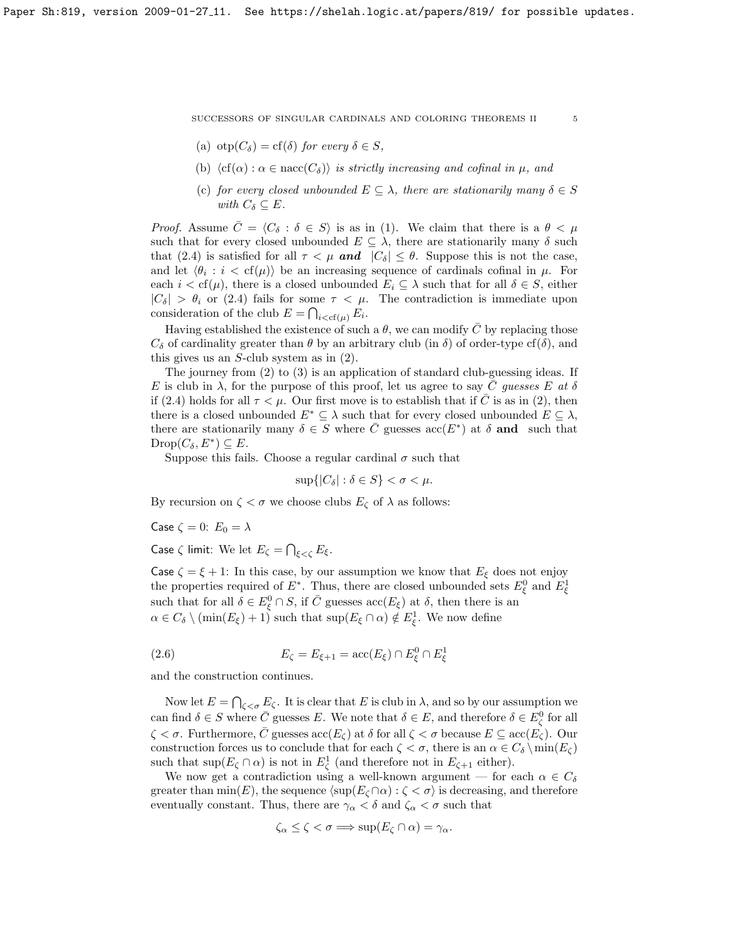- (a) otp $(C_{\delta}) = cf(\delta)$  for every  $\delta \in S$ ,
- (b)  $\langle cf(\alpha) : \alpha \in nacc(C_{\delta}) \rangle$  is strictly increasing and cofinal in  $\mu$ , and
- (c) for every closed unbounded  $E \subseteq \lambda$ , there are stationarily many  $\delta \in S$ with  $C_{\delta} \subset E$ .

*Proof.* Assume  $\bar{C} = \langle C_{\delta} : \delta \in S \rangle$  is as in (1). We claim that there is a  $\theta < \mu$ such that for every closed unbounded  $E \subseteq \lambda$ , there are stationarily many  $\delta$  such that [\(2.4\)](#page-3-0) is satisfied for all  $\tau < \mu$  and  $|C_{\delta}| \leq \theta$ . Suppose this is not the case, and let  $\langle \theta_i : i < \text{cf}(\mu) \rangle$  be an increasing sequence of cardinals cofinal in  $\mu$ . For each  $i < \text{cf}(\mu)$ , there is a closed unbounded  $E_i \subseteq \lambda$  such that for all  $\delta \in S$ , either  $|C_{\delta}| > \theta_i$  or [\(2.4\)](#page-3-0) fails for some  $\tau < \mu$ . The contradiction is immediate upon consideration of the club  $E = \bigcap_{i < \text{cf}(\mu)} E_i$ .

Having established the existence of such a  $\theta$ , we can modify  $\overline{C}$  by replacing those  $C_{\delta}$  of cardinality greater than  $\theta$  by an arbitrary club (in  $\delta$ ) of order-type cf( $\delta$ ), and this gives us an  $S$ -club system as in  $(2)$ .

The journey from (2) to (3) is an application of standard club-guessing ideas. If E is club in  $\lambda$ , for the purpose of this proof, let us agree to say C guesses E at  $\delta$ if [\(2.4\)](#page-3-0) holds for all  $\tau < \mu$ . Our first move is to establish that if C is as in (2), then there is a closed unbounded  $E^* \subseteq \lambda$  such that for every closed unbounded  $E \subseteq \lambda$ , there are stationarily many  $\delta \in S$  where  $\overline{C}$  guesses  $\mathrm{acc}(E^*)$  at  $\delta$  and such that  $\text{Drop}(C_{\delta}, E^*) \subseteq E.$ 

Suppose this fails. Choose a regular cardinal  $\sigma$  such that

 $\sup\{|C_\delta| : \delta \in S\} < \sigma < \mu$ .

By recursion on  $\zeta < \sigma$  we choose clubs  $E_{\zeta}$  of  $\lambda$  as follows:

Case  $\zeta = 0$ :  $E_0 = \lambda$ 

Case  $\zeta$  limit: We let  $E_{\zeta} = \bigcap_{\xi < \zeta} E_{\xi}$ .

Case  $\zeta = \xi + 1$ : In this case, by our assumption we know that  $E_{\xi}$  does not enjoy the properties required of  $E^*$ . Thus, there are closed unbounded sets  $E_{\xi}^0$  and  $E_{\xi}^1$ such that for all  $\delta \in E_{\xi}^0 \cap S$ , if  $\overline{C}$  guesses  $\operatorname{acc}(E_{\xi})$  at  $\delta$ , then there is an  $\alpha \in C_{\delta} \setminus (\min(E_{\xi}) + 1)$  such that  $\sup(E_{\xi} \cap \alpha) \notin E_{\xi}^1$ . We now define

(2.6) 
$$
E_{\zeta} = E_{\xi+1} = \mathrm{acc}(E_{\xi}) \cap E_{\xi}^{0} \cap E_{\xi}^{1}
$$

and the construction continues.

Now let  $E = \bigcap_{\zeta < \sigma} E_{\zeta}$ . It is clear that E is club in  $\lambda$ , and so by our assumption we can find  $\delta \in S$  where  $\bar{C}$  guesses E. We note that  $\delta \in E$ , and therefore  $\delta \in E_{\zeta}^0$  for all  $\zeta < \sigma$ . Furthermore,  $\overline{C}$  guesses  $\mathrm{acc}(E_{\zeta})$  at  $\delta$  for all  $\zeta < \sigma$  because  $E \subseteq \mathrm{acc}(E_{\zeta})$ . Our construction forces us to conclude that for each  $\zeta < \sigma$ , there is an  $\alpha \in C_\delta \setminus \min(E_\zeta)$ such that  $\sup(E_{\zeta} \cap \alpha)$  is not in  $E_{\zeta}$  (and therefore not in  $E_{\zeta+1}$  either).

We now get a contradiction using a well-known argument — for each  $\alpha \in C_{\delta}$ greater than  $\min(E)$ , the sequence  $\langle \sup(E_{\zeta} \cap \alpha) : \zeta < \sigma \rangle$  is decreasing, and therefore eventually constant. Thus, there are  $\gamma_{\alpha} < \delta$  and  $\zeta_{\alpha} < \sigma$  such that

$$
\zeta_{\alpha} \leq \zeta < \sigma \Longrightarrow \sup(E_{\zeta} \cap \alpha) = \gamma_{\alpha}.
$$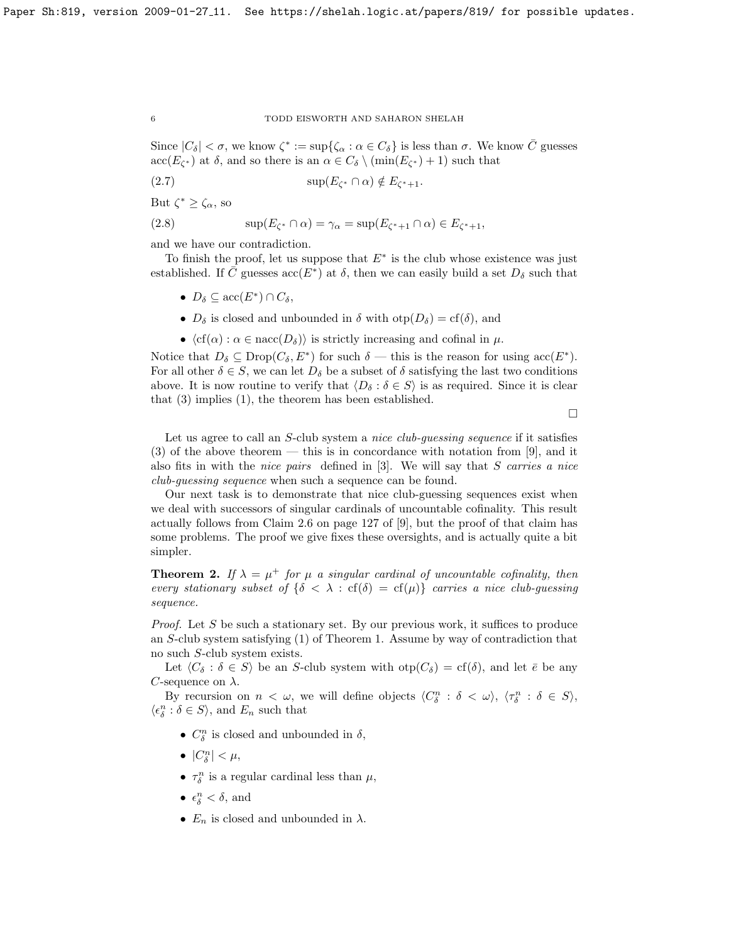Since  $|C_\delta| < \sigma$ , we know  $\zeta^* := \sup\{\zeta_\alpha : \alpha \in C_\delta\}$  is less than  $\sigma$ . We know  $\overline{C}$  guesses  $\mathrm{acc}(E_{\zeta^*})$  at  $\delta$ , and so there is an  $\alpha \in C_{\delta} \setminus (\min(E_{\zeta^*}) + 1)$  such that

$$
(2.7) \t\t\t sup(E_{\zeta^*} \cap \alpha) \notin E_{\zeta^*+1}.
$$

But  $\zeta^* \geq \zeta_\alpha$ , so

(2.8) 
$$
\sup(E_{\zeta^*} \cap \alpha) = \gamma_\alpha = \sup(E_{\zeta^*+1} \cap \alpha) \in E_{\zeta^*+1},
$$

and we have our contradiction.

To finish the proof, let us suppose that  $E^*$  is the club whose existence was just established. If  $\overline{C}$  guesses  $\operatorname{acc}(E^*)$  at  $\delta$ , then we can easily build a set  $D_{\delta}$  such that

- $D_{\delta} \subseteq \operatorname{acc}(E^*) \cap C_{\delta}$ ,
- $D_{\delta}$  is closed and unbounded in  $\delta$  with  $otp(D_{\delta}) = cf(\delta)$ , and
- $\langle cf(\alpha) : \alpha \in \text{nacc}(D_{\delta}) \rangle$  is strictly increasing and cofinal in  $\mu$ .

Notice that  $D_{\delta} \subseteq \text{Drop}(C_{\delta}, E^*)$  for such  $\delta$  — this is the reason for using  $\mathrm{acc}(E^*)$ . For all other  $\delta \in S$ , we can let  $D_{\delta}$  be a subset of  $\delta$  satisfying the last two conditions above. It is now routine to verify that  $\langle D_{\delta} : \delta \in S \rangle$  is as required. Since it is clear that (3) implies (1), the theorem has been established.

 $\Box$ 

Let us agree to call an S-club system a *nice club-guessing sequence* if it satisfies (3) of the above theorem — this is in concordance with notation from [\[9\]](#page-22-1), and it also fits in with the *nice pairs* defined in  $[3]$ . We will say that S carries a nice club-guessing sequence when such a sequence can be found.

Our next task is to demonstrate that nice club-guessing sequences exist when we deal with successors of singular cardinals of uncountable cofinality. This result actually follows from Claim 2.6 on page 127 of [\[9\]](#page-22-1), but the proof of that claim has some problems. The proof we give fixes these oversights, and is actually quite a bit simpler.

**Theorem 2.** If  $\lambda = \mu^+$  for  $\mu$  a singular cardinal of uncountable cofinality, then every stationary subset of  $\{\delta \leq \lambda : cf(\delta) = cf(\mu)\}\)$  carries a nice club-guessing sequence.

*Proof.* Let S be such a stationary set. By our previous work, it suffices to produce an S-club system satisfying (1) of Theorem [1.](#page-3-1) Assume by way of contradiction that no such S-club system exists.

Let  $\langle C_\delta : \delta \in S \rangle$  be an S-club system with  $otp(C_\delta) = cf(\delta)$ , and let  $\overline{e}$  be any C-sequence on  $\lambda$ .

By recursion on  $n < \omega$ , we will define objects  $\langle C_{\delta}^n : \delta < \omega \rangle$ ,  $\langle \tau_{\delta}^n : \delta \in S \rangle$ ,  $\langle \epsilon^n_\delta : \delta \in S \rangle,$  and  $E_n$  such that

- $C_{\delta}^{n}$  is closed and unbounded in  $\delta$ ,
- $|C_{\delta}^n| < \mu$ ,
- $\tau_{\delta}^{n}$  is a regular cardinal less than  $\mu$ ,
- $\epsilon^n_{\delta} < \delta$ , and
- $E_n$  is closed and unbounded in  $\lambda$ .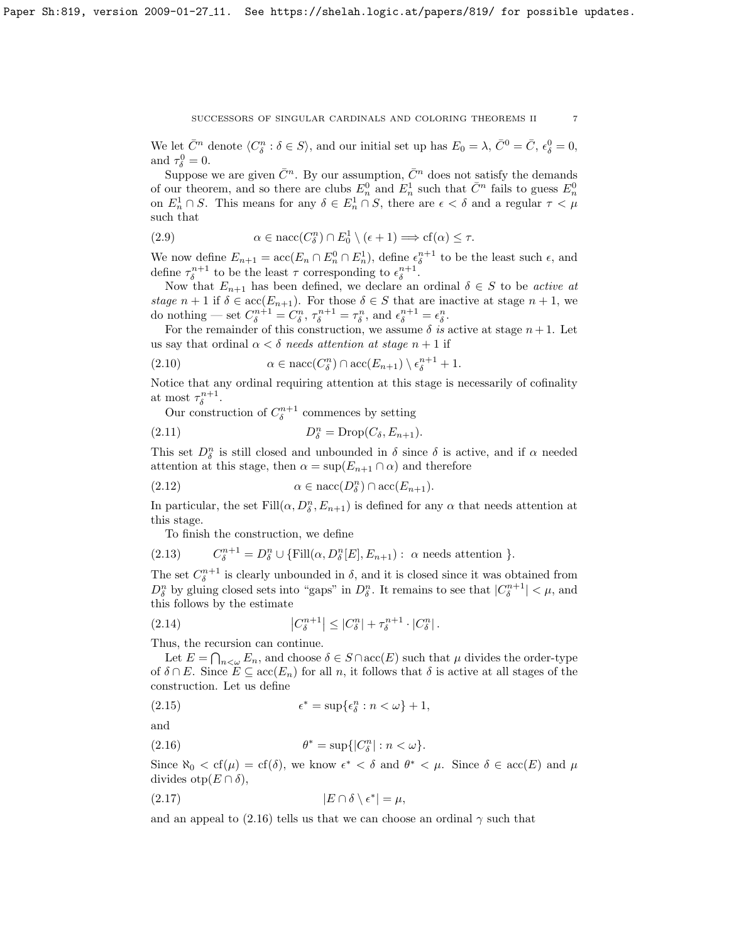We let  $\bar{C}^n$  denote  $\langle C_{\delta}^n : \delta \in S \rangle$ , and our initial set up has  $E_0 = \lambda$ ,  $\bar{C}^0 = \bar{C}$ ,  $\epsilon_{\delta}^0 = 0$ , and  $\tau_{\delta}^0 = 0$ .

Suppose we are given  $\overline{C}^n$ . By our assumption,  $\overline{C}^n$  does not satisfy the demands of our theorem, and so there are clubs  $E_n^0$  and  $E_n^1$  such that  $\bar{C}^n$  fails to guess  $E_n^0$ on  $E_n^1 \cap S$ . This means for any  $\delta \in E_n^1 \cap S$ , there are  $\epsilon < \delta$  and a regular  $\tau < \mu$ such that

(2.9) 
$$
\alpha \in \text{nacc}(C^n_\delta) \cap E^1_0 \setminus (\epsilon + 1) \Longrightarrow cf(\alpha) \leq \tau.
$$

We now define  $E_{n+1} = \text{acc}(E_n \cap E_n^0 \cap E_n^1)$ , define  $\epsilon_{\delta}^{n+1}$  to be the least such  $\epsilon$ , and define  $\tau_{\delta}^{n+1}$  to be the least  $\tau$  corresponding to  $\epsilon_{\delta}^{n+1}$ .

Now that  $E_{n+1}$  has been defined, we declare an ordinal  $\delta \in S$  to be *active at* stage  $n+1$  if  $\delta \in \text{acc}(E_{n+1})$ . For those  $\delta \in S$  that are inactive at stage  $n+1$ , we do nothing — set  $C_{\delta}^{n+1} = C_{\delta}^n$ ,  $\tau_{\delta}^{n+1} = \tau_{\delta}^n$ , and  $\epsilon_{\delta}^{n+1} = \epsilon_{\delta}^n$ .

For the remainder of this construction, we assume  $\delta$  is active at stage  $n+1$ . Let us say that ordinal  $\alpha < \delta$  needs attention at stage  $n + 1$  if

<span id="page-6-1"></span>(2.10) 
$$
\alpha \in \text{nacc}(C_{\delta}^n) \cap \text{acc}(E_{n+1}) \setminus \epsilon_{\delta}^{n+1} + 1.
$$

Notice that any ordinal requiring attention at this stage is necessarily of cofinality at most  $\tau_{\delta}^{n+1}$ .

Our construction of  $C_{\delta}^{n+1}$  commences by setting

(2.11) 
$$
D_{\delta}^{n} = \text{Drop}(C_{\delta}, E_{n+1}).
$$

This set  $D_{\delta}^{n}$  is still closed and unbounded in  $\delta$  since  $\delta$  is active, and if  $\alpha$  needed attention at this stage, then  $\alpha = \sup(E_{n+1} \cap \alpha)$  and therefore

$$
(2.12) \qquad \alpha \in \text{nacc}(D_{\delta}^n) \cap \text{acc}(E_{n+1}).
$$

In particular, the set  $\text{Fill}(\alpha, D_{\delta}^n, E_{n+1})$  is defined for any  $\alpha$  that needs attention at this stage.

To finish the construction, we define

(2.13) 
$$
C_{\delta}^{n+1} = D_{\delta}^{n} \cup \{\text{Fill}(\alpha, D_{\delta}^{n}[E], E_{n+1}) : \alpha \text{ needs attention }\}.
$$

The set  $C_{\delta}^{n+1}$  is clearly unbounded in  $\delta$ , and it is closed since it was obtained from  $D_{\delta}^{n}$  by gluing closed sets into "gaps" in  $D_{\delta}^{n}$ . It remains to see that  $|C_{\delta}^{n+1}| < \mu$ , and this follows by the estimate

(2.14) 
$$
\left|C_{\delta}^{n+1}\right| \leq \left|C_{\delta}^{n}\right| + \tau_{\delta}^{n+1} \cdot \left|C_{\delta}^{n}\right|.
$$

Thus, the recursion can continue.

Let  $E = \bigcap_{n \leq \omega} E_n$ , and choose  $\delta \in S \cap \text{acc}(E)$  such that  $\mu$  divides the order-type of  $\delta \cap E$ . Since  $E \subseteq \text{acc}(E_n)$  for all n, it follows that  $\delta$  is active at all stages of the construction. Let us define

(2.15) 
$$
\epsilon^* = \sup \{ \epsilon_\delta^n : n < \omega \} + 1,
$$

and

<span id="page-6-0"></span>(2.16) 
$$
\theta^* = \sup\{|C^n_\delta| : n < \omega\}.
$$

Since  $\aleph_0 < cf(\mu) = cf(\delta)$ , we know  $\epsilon^* < \delta$  and  $\theta^* < \mu$ . Since  $\delta \in acc(E)$  and  $\mu$ divides otp $(E \cap \delta)$ ,

$$
(2.17) \t\t\t |E \cap \delta \setminus \epsilon^*| = \mu,
$$

and an appeal to [\(2.16\)](#page-6-0) tells us that we can choose an ordinal  $\gamma$  such that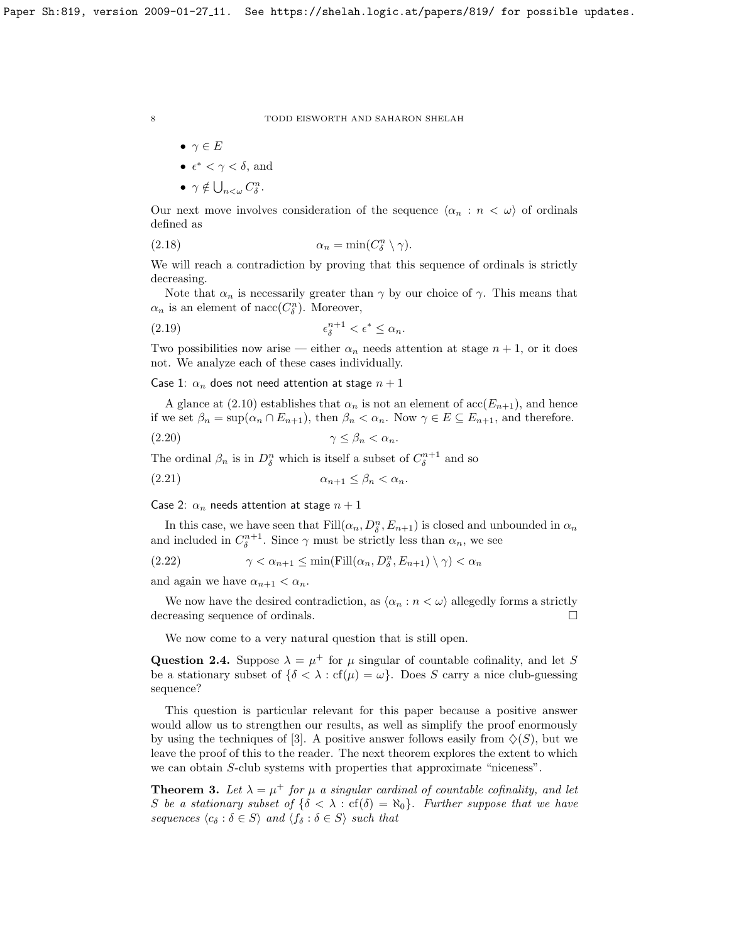$$
\bullet\ \ \gamma \in E
$$

• 
$$
\epsilon^* < \gamma < \delta
$$
, and

$$
\bullet \ \gamma \notin \bigcup\nolimits_{n<\omega} C_{\delta}^n.
$$

Our next move involves consideration of the sequence  $\langle \alpha_n : n \langle \omega \rangle$  of ordinals defined as

(2.18) 
$$
\alpha_n = \min(C_\delta^n \setminus \gamma).
$$

We will reach a contradiction by proving that this sequence of ordinals is strictly decreasing.

Note that  $\alpha_n$  is necessarily greater than  $\gamma$  by our choice of  $\gamma$ . This means that  $\alpha_n$  is an element of nacc( $C_{\delta}^n$ ). Moreover,

$$
\epsilon_{\delta}^{n+1} < \epsilon^* \le \alpha_n.
$$

Two possibilities now arise — either  $\alpha_n$  needs attention at stage  $n + 1$ , or it does not. We analyze each of these cases individually.

Case 1:  $\alpha_n$  does not need attention at stage  $n+1$ 

A glance at [\(2.10\)](#page-6-1) establishes that  $\alpha_n$  is not an element of  $\mathrm{acc}(E_{n+1})$ , and hence if we set  $\beta_n = \sup(\alpha_n \cap E_{n+1})$ , then  $\beta_n < \alpha_n$ . Now  $\gamma \in E \subseteq E_{n+1}$ , and therefore.

(2.20) γ ≤ β<sup>n</sup> < αn.

The ordinal  $\beta_n$  is in  $D^n_{\delta}$  which is itself a subset of  $C^{n+1}_{\delta}$  and so

$$
\alpha_{n+1} \le \beta_n < \alpha_n.
$$

Case 2:  $\alpha_n$  needs attention at stage  $n+1$ 

In this case, we have seen that  $\text{Fill}(\alpha_n, D_\delta^n, E_{n+1})$  is closed and unbounded in  $\alpha_n$ and included in  $C_{\delta}^{n+1}$ . Since  $\gamma$  must be strictly less than  $\alpha_n$ , we see

(2.22) 
$$
\gamma < \alpha_{n+1} \le \min(\mathrm{Fill}(\alpha_n, D_{\delta}^n, E_{n+1}) \setminus \gamma) < \alpha_n
$$

and again we have  $\alpha_{n+1} < \alpha_n$ .

We now have the desired contradiction, as  $\langle \alpha_n : n < \omega \rangle$  allegedly forms a strictly decreasing sequence of ordinals.

We now come to a very natural question that is still open.

<span id="page-7-1"></span>Question 2.4. Suppose  $\lambda = \mu^+$  for  $\mu$  singular of countable cofinality, and let S be a stationary subset of  $\{\delta < \lambda : cf(\mu) = \omega\}$ . Does S carry a nice club-guessing sequence?

This question is particular relevant for this paper because a positive answer would allow us to strengthen our results, as well as simplify the proof enormously by using the techniques of [\[3\]](#page-21-1). A positive answer follows easily from  $\Diamond(S)$ , but we leave the proof of this to the reader. The next theorem explores the extent to which we can obtain S-club systems with properties that approximate "niceness".

<span id="page-7-0"></span>**Theorem 3.** Let  $\lambda = \mu^+$  for  $\mu$  a singular cardinal of countable cofinality, and let S be a stationary subset of  $\{\delta < \lambda : cf(\delta) = \aleph_0\}$ . Further suppose that we have sequences  $\langle c_{\delta} : \delta \in S \rangle$  and  $\langle f_{\delta} : \delta \in S \rangle$  such that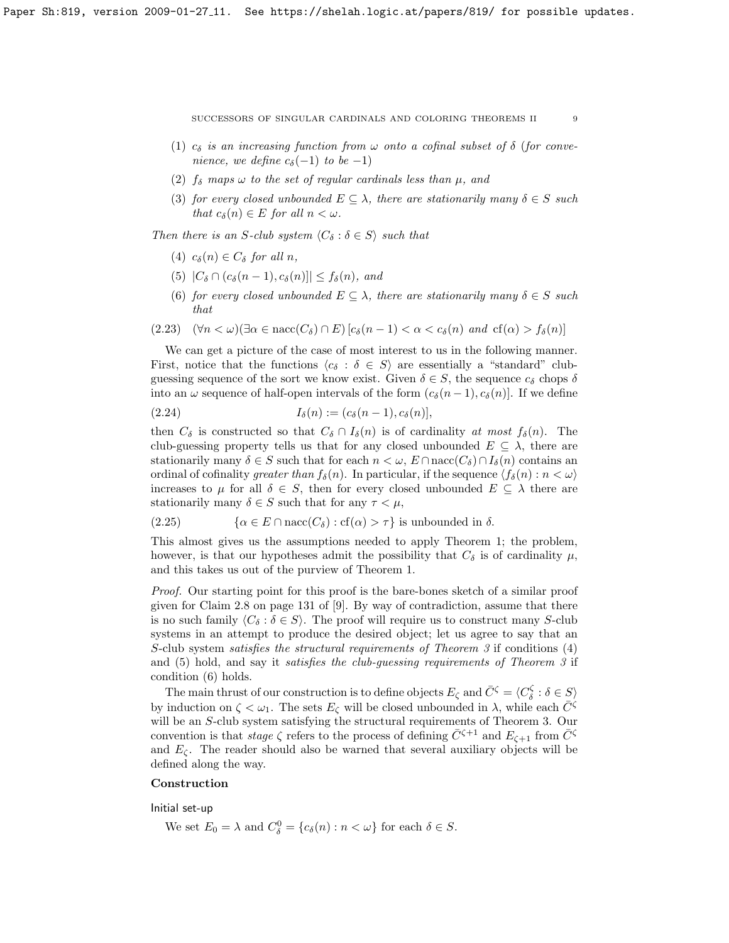- (1)  $c_{\delta}$  is an increasing function from  $\omega$  onto a cofinal subset of  $\delta$  (for convenience, we define  $c_{\delta}(-1)$  to be -1)
- (2)  $f_{\delta}$  maps  $\omega$  to the set of regular cardinals less than  $\mu$ , and
- (3) for every closed unbounded  $E \subseteq \lambda$ , there are stationarily many  $\delta \in S$  such that  $c_{\delta}(n) \in E$  for all  $n < \omega$ .

Then there is an S-club system  $\langle C_{\delta} : \delta \in S \rangle$  such that

- (4)  $c_{\delta}(n) \in C_{\delta}$  for all n,
- (5)  $|C_{\delta} \cap (c_{\delta}(n-1), c_{\delta}(n))| \leq f_{\delta}(n)$ , and
- (6) for every closed unbounded  $E \subseteq \lambda$ , there are stationarily many  $\delta \in S$  such that

(2.23)  $(\forall n < \omega)(\exists \alpha \in \text{nacc}(C_{\delta}) \cap E)$   $[c_{\delta}(n-1) < \alpha < c_{\delta}(n) \text{ and } cf(\alpha) > f_{\delta}(n)]$ 

We can get a picture of the case of most interest to us in the following manner. First, notice that the functions  $\langle c_{\delta} : \delta \in S \rangle$  are essentially a "standard" clubguessing sequence of the sort we know exist. Given  $\delta \in S$ , the sequence  $c_{\delta}$  chops  $\delta$ into an  $\omega$  sequence of half-open intervals of the form  $(c_{\delta}(n-1), c_{\delta}(n))$ . If we define

(2.24) 
$$
I_{\delta}(n) := (c_{\delta}(n-1), c_{\delta}(n)),
$$

then  $C_{\delta}$  is constructed so that  $C_{\delta} \cap I_{\delta}(n)$  is of cardinality at most  $f_{\delta}(n)$ . The club-guessing property tells us that for any closed unbounded  $E \subseteq \lambda$ , there are stationarily many  $\delta \in S$  such that for each  $n < \omega$ ,  $E \cap \text{nacc}(C_{\delta}) \cap I_{\delta}(n)$  contains an ordinal of cofinality greater than  $f_{\delta}(n)$ . In particular, if the sequence  $\langle f_{\delta}(n) : n < \omega \rangle$ increases to  $\mu$  for all  $\delta \in S$ , then for every closed unbounded  $E \subseteq \lambda$  there are stationarily many  $\delta \in S$  such that for any  $\tau < \mu$ ,

(2.25) 
$$
\{\alpha \in E \cap \text{nacc}(C_{\delta}) : \text{cf}(\alpha) > \tau\}
$$
 is unbounded in  $\delta$ .

This almost gives us the assumptions needed to apply Theorem [1;](#page-3-1) the problem, however, is that our hypotheses admit the possibility that  $C_{\delta}$  is of cardinality  $\mu$ , and this takes us out of the purview of Theorem [1.](#page-3-1)

Proof. Our starting point for this proof is the bare-bones sketch of a similar proof given for Claim 2.8 on page 131 of [\[9\]](#page-22-1). By way of contradiction, assume that there is no such family  $\langle C_{\delta} : \delta \in S \rangle$ . The proof will require us to construct many S-club systems in an attempt to produce the desired object; let us agree to say that an S-club system satisfies the structural requirements of Theorem [3](#page-7-0) if conditions (4) and (5) hold, and say it satisfies the club-guessing requirements of Theorem [3](#page-7-0) if condition (6) holds.

The main thrust of our construction is to define objects  $E_{\zeta}$  and  $\bar{C}^{\zeta} = \langle C_{\delta}^{\zeta} : \delta \in S \rangle$ by induction on  $\zeta < \omega_1$ . The sets  $E_{\zeta}$  will be closed unbounded in  $\lambda$ , while each  $\bar{C}^{\zeta}$ will be an S-club system satisfying the structural requirements of Theorem [3.](#page-7-0) Our convention is that *stage*  $\zeta$  refers to the process of defining  $\overline{C}^{\zeta+1}$  and  $E_{\zeta+1}$  from  $\overline{C}^{\zeta}$ and  $E_{\zeta}$ . The reader should also be warned that several auxiliary objects will be defined along the way.

## Construction

Initial set-up

We set  $E_0 = \lambda$  and  $C_{\delta}^0 = \{c_{\delta}(n) : n < \omega\}$  for each  $\delta \in S$ .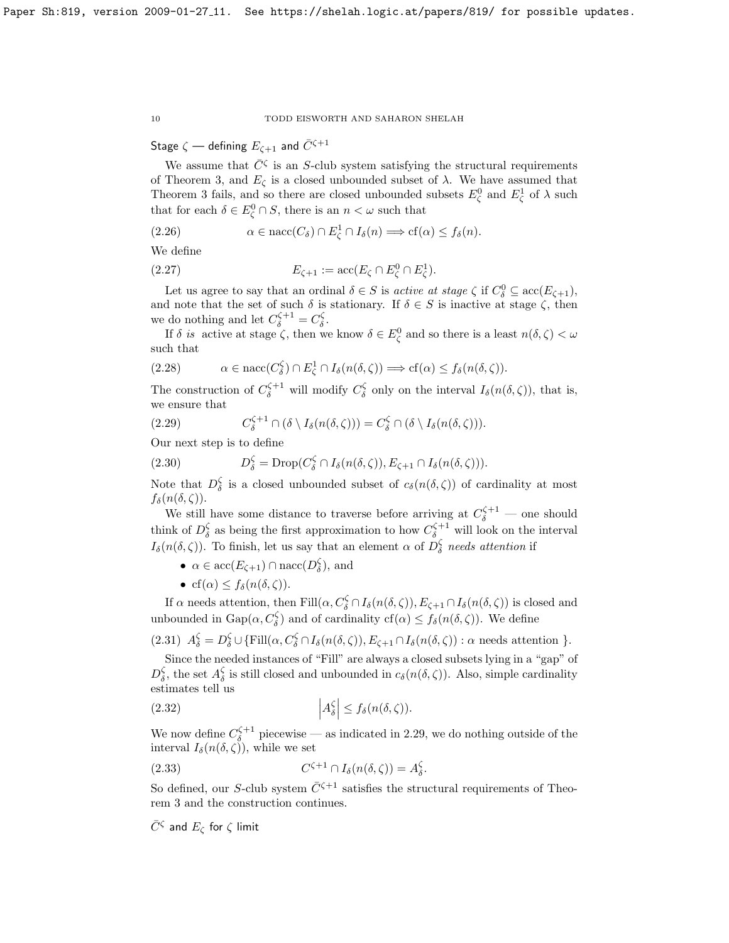Stage  $\zeta$  — defining  $E_{\zeta+1}$  and  $\bar{C}^{\zeta+1}$ 

We assume that  $\bar{C}^{\zeta}$  is an S-club system satisfying the structural requirements of Theorem [3,](#page-7-0) and  $E_{\zeta}$  is a closed unbounded subset of  $\lambda$ . We have assumed that Theorem [3](#page-7-0) fails, and so there are closed unbounded subsets  $E_{\zeta}^0$  and  $E_{\zeta}^1$  of  $\lambda$  such that for each  $\delta \in E^0_{\zeta} \cap S$ , there is an  $n < \omega$  such that

$$
(2.26) \qquad \alpha \in \text{nacc}(C_{\delta}) \cap E_{\zeta}^{1} \cap I_{\delta}(n) \Longrightarrow \text{cf}(\alpha) \le f_{\delta}(n).
$$

We define

(2.27) 
$$
E_{\zeta+1} := \mathrm{acc}(E_{\zeta} \cap E_{\zeta}^0 \cap E_{\zeta}^1).
$$

Let us agree to say that an ordinal  $\delta \in S$  is active at stage  $\zeta$  if  $C_{\delta}^0 \subseteq \text{acc}(E_{\zeta+1}),$ and note that the set of such  $\delta$  is stationary. If  $\delta \in S$  is inactive at stage  $\zeta$ , then we do nothing and let  $C_{\delta}^{\zeta+1} = C_{\delta}^{\zeta}$ .

If  $\delta$  is active at stage  $\zeta$ , then we know  $\delta \in E_{\zeta}^0$  and so there is a least  $n(\delta, \zeta) < \omega$ such that

$$
(2.28) \qquad \alpha \in \operatorname{nacc}(C_{\delta}^{\zeta}) \cap E_{\zeta}^{1} \cap I_{\delta}(n(\delta, \zeta)) \Longrightarrow cf(\alpha) \le f_{\delta}(n(\delta, \zeta)).
$$

The construction of  $C_{\delta}^{\zeta+1}$  will modify  $C_{\delta}^{\zeta}$  only on the interval  $I_{\delta}(n(\delta,\zeta))$ , that is, we ensure that

<span id="page-9-0"></span>(2.29) 
$$
C_{\delta}^{\zeta+1} \cap (\delta \setminus I_{\delta}(n(\delta,\zeta))) = C_{\delta}^{\zeta} \cap (\delta \setminus I_{\delta}(n(\delta,\zeta))).
$$

Our next step is to define

(2.30) 
$$
D_{\delta}^{\zeta} = \text{Drop}(C_{\delta}^{\zeta} \cap I_{\delta}(n(\delta, \zeta)), E_{\zeta+1} \cap I_{\delta}(n(\delta, \zeta))).
$$

Note that  $D_{\delta}^{\zeta}$  is a closed unbounded subset of  $c_{\delta}(n(\delta,\zeta))$  of cardinality at most  $f_\delta(n(\delta, \zeta)).$ 

We still have some distance to traverse before arriving at  $C_{\delta}^{\zeta+1}$  — one should think of  $D_{\delta}^{\zeta}$  as being the first approximation to how  $C_{\delta}^{\zeta+1}$  will look on the interval  $I_{\delta}(n(\delta,\zeta))$ . To finish, let us say that an element  $\alpha$  of  $D_{\delta}^{\zeta}$  needs attention if

- $\alpha \in \text{acc}(E_{\zeta+1}) \cap \text{nacc}(D_{\delta}^{\zeta}),$  and
- cf( $\alpha$ )  $\leq f_{\delta}(n(\delta,\zeta)).$

If  $\alpha$  needs attention, then  $Fill(\alpha, C^{\zeta}_{\delta} \cap I_{\delta}(n(\delta, \zeta)), E_{\zeta+1} \cap I_{\delta}(n(\delta, \zeta))$  is closed and unbounded in  $\text{Gap}(\alpha, C_\delta^{\zeta})$  and of cardinality  $cf(\alpha) \leq f_\delta(n(\delta, \zeta))$ . We define

$$
(2.31) \ \ A_{\delta}^{\zeta} = D_{\delta}^{\zeta} \cup \{ \mathrm{Fill}(\alpha, C_{\delta}^{\zeta} \cap I_{\delta}(n(\delta, \zeta)), E_{\zeta+1} \cap I_{\delta}(n(\delta, \zeta)) : \alpha \mathrm{ needs attention } \}.
$$

Since the needed instances of "Fill" are always a closed subsets lying in a "gap" of  $D_{\delta}^{\zeta}$ , the set  $A_{\delta}^{\zeta}$  is still closed and unbounded in  $c_{\delta}(n(\delta, \zeta))$ . Also, simple cardinality estimates tell us

(2.32) 
$$
\left| A_{\delta}^{\zeta} \right| \leq f_{\delta}(n(\delta, \zeta)).
$$

We now define  $C_{\delta}^{\zeta+1}$  piecewise — as indicated in [2.29,](#page-9-0) we do nothing outside of the interval  $I_{\delta}(n(\delta,\zeta))$ , while we set

(2.33) 
$$
C^{\zeta+1} \cap I_{\delta}(n(\delta,\zeta)) = A_{\delta}^{\zeta}.
$$

So defined, our S-club system  $\bar{C}^{\zeta+1}$  satisfies the structural requirements of Theorem [3](#page-7-0) and the construction continues.

 $\bar{C}^\zeta$  and  $E_\zeta$  for  $\zeta$  limit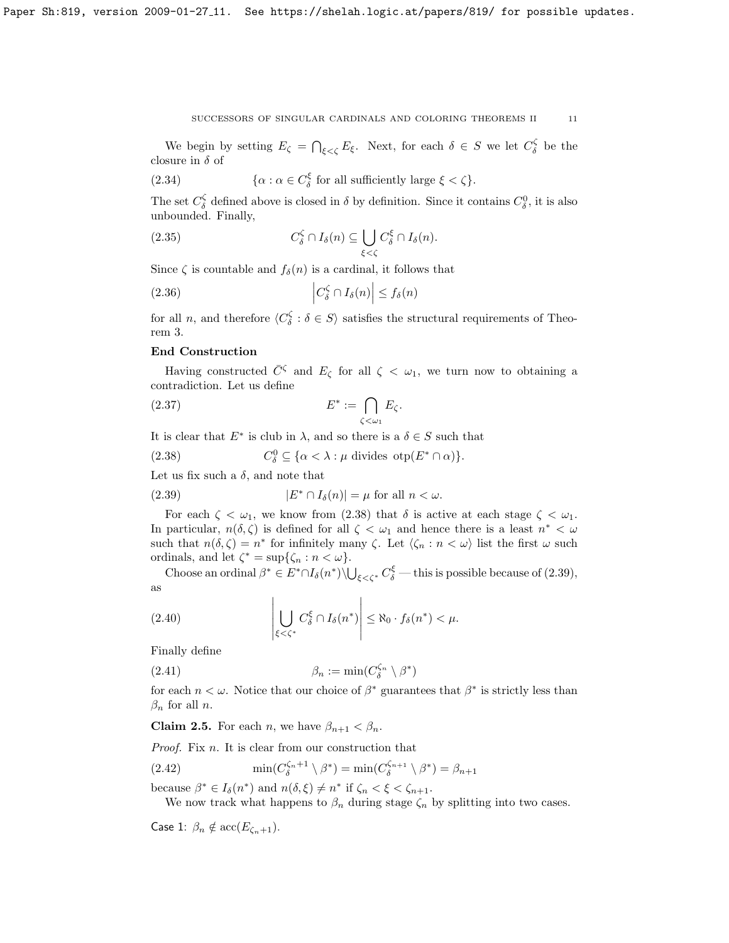We begin by setting  $E_{\zeta} = \bigcap_{\xi < \zeta} E_{\xi}$ . Next, for each  $\delta \in S$  we let  $C_{\delta}^{\zeta}$  be the closure in  $\delta$  of

(2.34) 
$$
\{\alpha : \alpha \in C_{\delta}^{\xi} \text{ for all sufficiently large } \xi < \zeta\}.
$$

The set  $C_{\delta}^{\zeta}$  defined above is closed in  $\delta$  by definition. Since it contains  $C_{\delta}^0$ , it is also unbounded. Finally,

(2.35) 
$$
C_{\delta}^{\zeta} \cap I_{\delta}(n) \subseteq \bigcup_{\xi < \zeta} C_{\delta}^{\xi} \cap I_{\delta}(n).
$$

Since  $\zeta$  is countable and  $f_{\delta}(n)$  is a cardinal, it follows that

(2.36) 
$$
\left|C_{\delta}^{\zeta} \cap I_{\delta}(n)\right| \leq f_{\delta}(n)
$$

for all *n*, and therefore  $\langle C_{\delta}^{\zeta} : \delta \in S \rangle$  satisfies the structural requirements of Theorem [3.](#page-7-0)

## End Construction

Having constructed  $\overline{C}$ <sup> $\zeta$ </sup> and  $E_{\zeta}$  for all  $\zeta < \omega_1$ , we turn now to obtaining a contradiction. Let us define

(2.37) 
$$
E^* := \bigcap_{\zeta < \omega_1} E_{\zeta}.
$$

It is clear that  $E^*$  is club in  $\lambda$ , and so there is a  $\delta \in S$  such that

<span id="page-10-0"></span>(2.38) 
$$
C_{\delta}^{0} \subseteq \{\alpha < \lambda : \mu \text{ divides } \text{otp}(E^* \cap \alpha)\}.
$$

Let us fix such a  $\delta$ , and note that

<span id="page-10-1"></span>(2.39) 
$$
|E^* \cap I_\delta(n)| = \mu \text{ for all } n < \omega.
$$

For each  $\zeta < \omega_1$ , we know from [\(2.38\)](#page-10-0) that  $\delta$  is active at each stage  $\zeta < \omega_1$ . In particular,  $n(\delta, \zeta)$  is defined for all  $\zeta < \omega_1$  and hence there is a least  $n^* < \omega$ such that  $n(\delta, \zeta) = n^*$  for infinitely many  $\zeta$ . Let  $\langle \zeta_n : n \langle \omega \rangle$  list the first  $\omega$  such ordinals, and let  $\zeta^* = \sup{\{\zeta_n : n < \omega\}}$ .

Choose an ordinal  $\beta^* \in E^* \cap I_{\delta}(n^*) \setminus \bigcup_{\xi \leq \zeta^*} C_{\delta}^{\xi}$  — this is possible because of [\(2.39\)](#page-10-1), as

(2.40) 
$$
\left|\bigcup_{\xi<\zeta^*}C_{\delta}^{\xi}\cap I_{\delta}(n^*)\right|\leq\aleph_0\cdot f_{\delta}(n^*)<\mu.
$$

Finally define

(2.41) 
$$
\beta_n := \min(C_{\delta}^{\zeta_n} \setminus \beta^*)
$$

for each  $n < \omega$ . Notice that our choice of  $\beta^*$  guarantees that  $\beta^*$  is strictly less than  $\beta_n$  for all *n*.

**Claim 2.5.** For each *n*, we have  $\beta_{n+1} < \beta_n$ .

Proof. Fix n. It is clear from our construction that

(2.42) 
$$
\min(C_{\delta}^{\zeta_n+1} \setminus \beta^*) = \min(C_{\delta}^{\zeta_{n+1}} \setminus \beta^*) = \beta_{n+1}
$$

because  $\beta^* \in I_{\delta}(n^*)$  and  $n(\delta, \xi) \neq n^*$  if  $\zeta_n < \xi < \zeta_{n+1}$ .

We now track what happens to  $\beta_n$  during stage  $\zeta_n$  by splitting into two cases.

Case 1:  $\beta_n \notin \mathrm{acc}(E_{\zeta_n+1}).$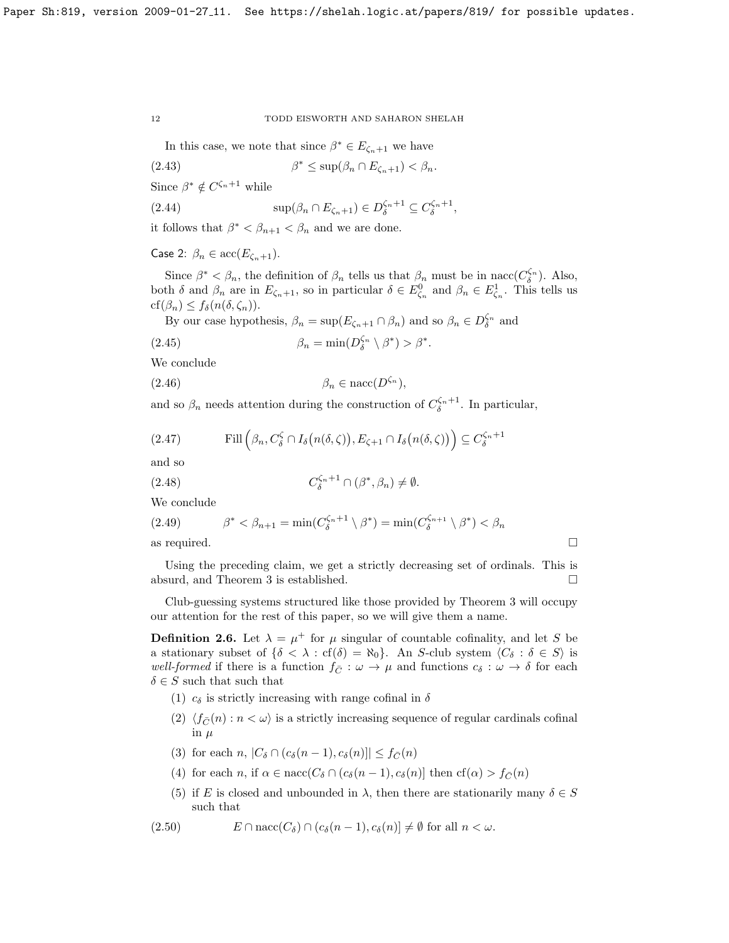In this case, we note that since  $\beta^* \in E_{\zeta_n+1}$  we have

(2.43) 
$$
\beta^* \leq \sup(\beta_n \cap E_{\zeta_n+1}) < \beta_n.
$$

Since  $\beta^* \notin C^{\zeta_n+1}$  while

(2.44) 
$$
\sup(\beta_n \cap E_{\zeta_n+1}) \in D_{\delta}^{\zeta_n+1} \subseteq C_{\delta}^{\zeta_n+1},
$$

it follows that  $\beta^* < \beta_{n+1} < \beta_n$  and we are done.

Case 2:  $\beta_n \in \text{acc}(E_{\zeta_n+1})$ .

Since  $\beta^* < \beta_n$ , the definition of  $\beta_n$  tells us that  $\beta_n$  must be in nacc( $C_{\delta}^{\zeta_n}$ ). Also, both  $\delta$  and  $\beta_n$  are in  $E_{\zeta_n+1}$ , so in particular  $\delta \in E_{\zeta_n}^0$  and  $\beta_n \in E_{\zeta_n}^1$ . This tells us  $cf(\beta_n) \leq f_\delta(n(\delta,\zeta_n)).$ 

By our case hypothesis,  $\beta_n = \sup(E_{\zeta_n+1} \cap \beta_n)$  and so  $\beta_n \in D_{\delta}^{\zeta_n}$  and

(2.45) 
$$
\beta_n = \min(D_{\delta}^{\zeta_n} \setminus \beta^*) > \beta^*.
$$

We conclude

(2.46) β<sup>n</sup> ∈ nacc(Dζ<sup>n</sup> ),

and so  $\beta_n$  needs attention during the construction of  $C_{\delta}^{\zeta_n+1}$ . In particular,

(2.47) Fill 
$$
\left(\beta_n, C_{\delta}^{\zeta} \cap I_{\delta}(n(\delta, \zeta)), E_{\zeta+1} \cap I_{\delta}(n(\delta, \zeta))\right) \subseteq C_{\delta}^{\zeta_n+1}
$$

and so

(2.48) 
$$
C_{\delta}^{\zeta_n+1} \cap (\beta^*, \beta_n) \neq \emptyset.
$$

We conclude

(2.49) 
$$
\beta^* < \beta_{n+1} = \min(C_{\delta}^{\zeta_n+1} \setminus \beta^*) = \min(C_{\delta}^{\zeta_{n+1}} \setminus \beta^*) < \beta_n
$$
as required.

Using the preceding claim, we get a strictly decreasing set of ordinals. This is absurd, and Theorem [3](#page-7-0) is established.

Club-guessing systems structured like those provided by Theorem [3](#page-7-0) will occupy our attention for the rest of this paper, so we will give them a name.

<span id="page-11-0"></span>**Definition 2.6.** Let  $\lambda = \mu^+$  for  $\mu$  singular of countable cofinality, and let S be a stationary subset of  $\{\delta < \lambda : cf(\delta) = \aleph_0\}$ . An S-club system  $\langle C_\delta : \delta \in S \rangle$  is well-formed if there is a function  $f_{\overline{C}} : \omega \to \mu$  and functions  $c_{\delta} : \omega \to \delta$  for each  $\delta \in S$  such that such that

- (1)  $c_{\delta}$  is strictly increasing with range cofinal in  $\delta$
- (2)  $\langle f_{\bar{C}}(n) : n < \omega \rangle$  is a strictly increasing sequence of regular cardinals cofinal in  $\mu$
- (3) for each n,  $|C_{\delta} \cap (c_{\delta}(n-1), c_{\delta}(n))| \leq f_{\overline{C}}(n)$
- (4) for each n, if  $\alpha \in \text{nacc}(C_\delta \cap (c_\delta(n-1), c_\delta(n))$  then  $cf(\alpha) > f_{\overline{C}}(n)$
- (5) if E is closed and unbounded in  $\lambda$ , then there are stationarily many  $\delta \in S$ such that

(2.50) 
$$
E \cap \text{nacc}(C_{\delta}) \cap (c_{\delta}(n-1), c_{\delta}(n)) \neq \emptyset \text{ for all } n < \omega.
$$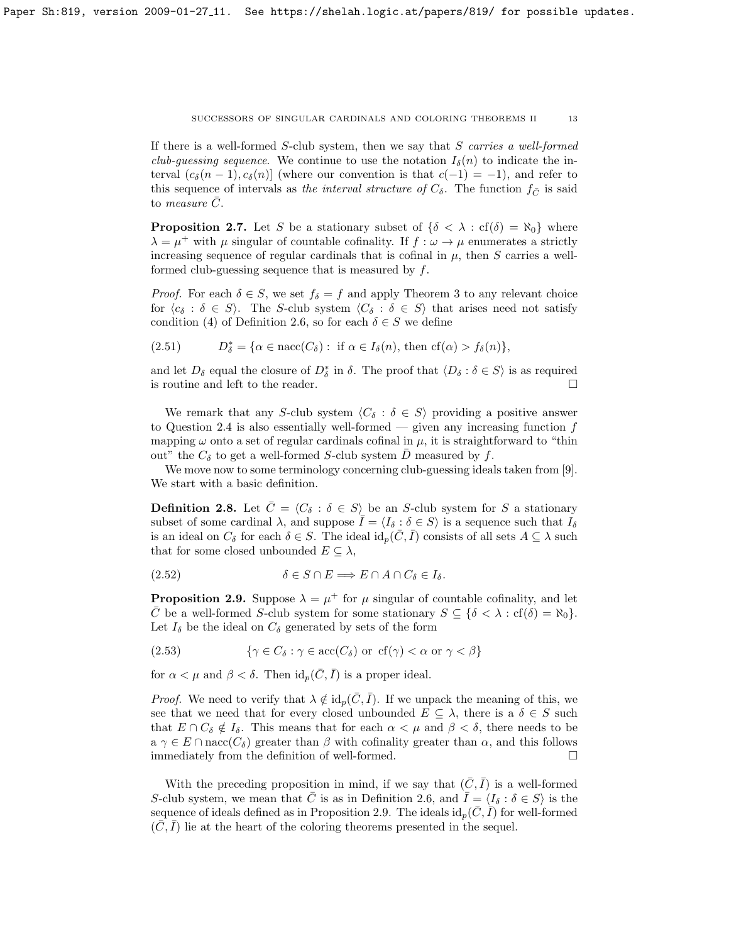If there is a well-formed S-club system, then we say that S carries a well-formed club-quessing sequence. We continue to use the notation  $I_{\delta}(n)$  to indicate the interval  $(c_{\delta}(n-1), c_{\delta}(n))$  (where our convention is that  $c(-1) = -1$ ), and refer to this sequence of intervals as the interval structure of  $C_{\delta}$ . The function  $f_{\bar{C}}$  is said to *measure*  $\overline{C}$ .

**Proposition 2.7.** Let S be a stationary subset of  $\{\delta \leq \lambda : cf(\delta) = \aleph_0\}$  where  $\lambda = \mu^+$  with  $\mu$  singular of countable cofinality. If  $f : \omega \to \mu$  enumerates a strictly increasing sequence of regular cardinals that is cofinal in  $\mu$ , then S carries a wellformed club-guessing sequence that is measured by f.

*Proof.* For each  $\delta \in S$ , we set  $f_{\delta} = f$  and apply Theorem [3](#page-7-0) to any relevant choice for  $\langle c_{\delta} : \delta \in S \rangle$ . The S-club system  $\langle C_{\delta} : \delta \in S \rangle$  that arises need not satisfy condition (4) of Definition [2.6,](#page-11-0) so for each  $\delta \in S$  we define

(2.51) 
$$
D_{\delta}^* = {\alpha \in \text{nacc}(C_{\delta}) : \text{ if } \alpha \in I_{\delta}(n), \text{ then cf}(\alpha) > f_{\delta}(n)},
$$

and let  $D_{\delta}$  equal the closure of  $D_{\delta}^*$  in  $\delta$ . The proof that  $\langle D_{\delta} : \delta \in S \rangle$  is as required is routine and left to the reader.  $\hfill \square$ 

We remark that any S-club system  $\langle C_{\delta} : \delta \in S \rangle$  providing a positive answer to Question [2.4](#page-7-1) is also essentially well-formed — given any increasing function  $f$ mapping  $\omega$  onto a set of regular cardinals cofinal in  $\mu$ , it is straightforward to "thin out" the  $C_{\delta}$  to get a well-formed S-club system D measured by f.

We move now to some terminology concerning club-guessing ideals taken from [\[9\]](#page-22-1). We start with a basic definition.

**Definition 2.8.** Let  $\bar{C} = \langle C_{\delta} : \delta \in S \rangle$  be an S-club system for S a stationary subset of some cardinal  $\lambda$ , and suppose  $\overline{I} = \langle I_\delta : \delta \in S \rangle$  is a sequence such that  $I_\delta$ is an ideal on  $C_{\delta}$  for each  $\delta \in S$ . The ideal  $id_p(\overline{C}, \overline{I})$  consists of all sets  $A \subseteq \lambda$  such that for some closed unbounded  $E \subseteq \lambda$ ,

$$
(2.52) \t\t \delta \in S \cap E \Longrightarrow E \cap A \cap C_{\delta} \in I_{\delta}.
$$

<span id="page-12-0"></span>**Proposition 2.9.** Suppose  $\lambda = \mu^+$  for  $\mu$  singular of countable cofinality, and let  $\overline{C}$  be a well-formed S-club system for some stationary  $S \subseteq {\delta < \lambda : cf(\delta) = \aleph_0}$ . Let  $I_{\delta}$  be the ideal on  $C_{\delta}$  generated by sets of the form

(2.53) 
$$
\{ \gamma \in C_{\delta} : \gamma \in \text{acc}(C_{\delta}) \text{ or } \text{cf}(\gamma) < \alpha \text{ or } \gamma < \beta \}
$$

for  $\alpha < \mu$  and  $\beta < \delta$ . Then  $\mathrm{id}_p(\overline{C}, \overline{I})$  is a proper ideal.

*Proof.* We need to verify that  $\lambda \notin id_p(\overline{C}, \overline{I})$ . If we unpack the meaning of this, we see that we need that for every closed unbounded  $E \subseteq \lambda$ , there is a  $\delta \in S$  such that  $E \cap C_{\delta} \notin I_{\delta}$ . This means that for each  $\alpha < \mu$  and  $\beta < \delta$ , there needs to be  $a \gamma \in E \cap \text{nacc}(C_{\delta})$  greater than  $\beta$  with cofinality greater than  $\alpha$ , and this follows immediately from the definition of well-formed.

With the preceding proposition in mind, if we say that  $(\bar{C}, \bar{I})$  is a well-formed S-club system, we mean that  $\overline{C}$  is as in Definition [2.6,](#page-11-0) and  $\overline{I} = \langle I_{\delta} : \delta \in S \rangle$  is the sequence of ideals defined as in Proposition [2.9.](#page-12-0) The ideals  $id_p(\bar{C}, \bar{I})$  for well-formed  $(\bar{C}, \bar{I})$  lie at the heart of the coloring theorems presented in the sequel.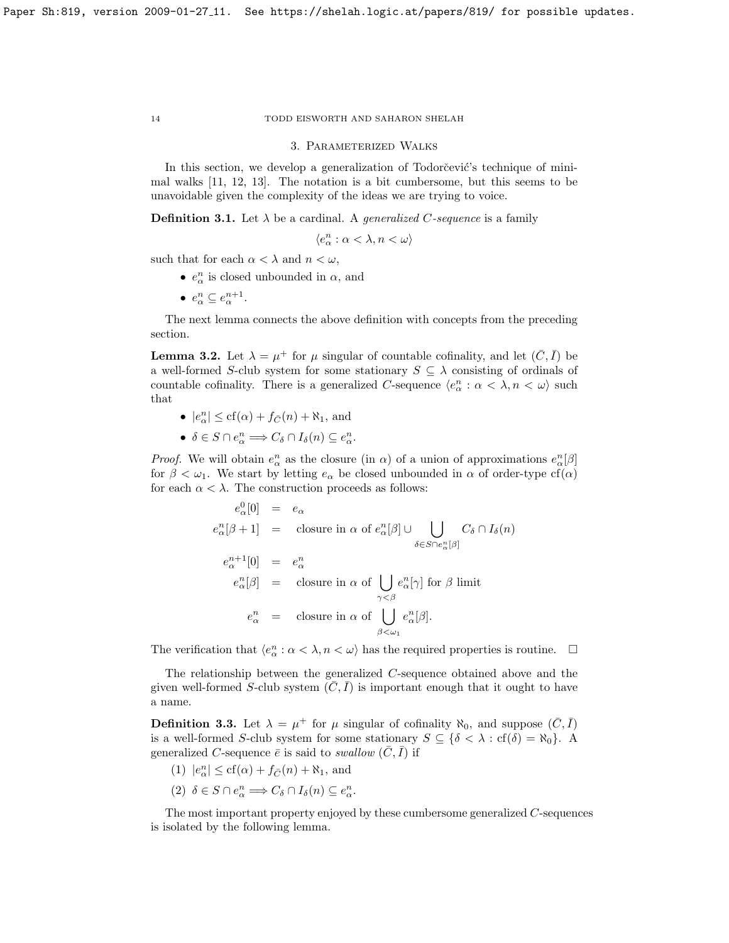#### 3. Parameterized Walks

In this section, we develop a generalization of Todorčević's technique of minimal walks [\[11,](#page-22-3) [12,](#page-22-4) [13\]](#page-22-5). The notation is a bit cumbersome, but this seems to be unavoidable given the complexity of the ideas we are trying to voice.

**Definition 3.1.** Let  $\lambda$  be a cardinal. A *generalized C-sequence* is a family

$$
\langle e^n_\alpha:\alpha<\lambda, n<\omega\rangle
$$

such that for each  $\alpha < \lambda$  and  $n < \omega,$ 

- $e^n_\alpha$  is closed unbounded in  $\alpha$ , and
- $e^n_\alpha \subseteq e^{n+1}_\alpha$ .

The next lemma connects the above definition with concepts from the preceding section.

**Lemma 3.2.** Let  $\lambda = \mu^+$  for  $\mu$  singular of countable cofinality, and let  $(\bar{C}, \bar{I})$  be a well-formed S-club system for some stationary  $S \subseteq \lambda$  consisting of ordinals of countable cofinality. There is a generalized C-sequence  $\langle e^n_\alpha : \alpha < \lambda, n < \omega \rangle$  such that

- $|e^n_\alpha| \leq \text{cf}(\alpha) + f_{\overline{C}}(n) + \aleph_1$ , and
- $\delta \in S \cap e^n_\alpha \Longrightarrow C_\delta \cap I_\delta(n) \subseteq e^n_\alpha.$

*Proof.* We will obtain  $e^n_\alpha$  as the closure (in  $\alpha$ ) of a union of approximations  $e^n_\alpha[\beta]$ for  $\beta < \omega_1$ . We start by letting  $e_\alpha$  be closed unbounded in  $\alpha$  of order-type cf( $\alpha$ ) for each  $\alpha < \lambda$ . The construction proceeds as follows:

$$
e_{\alpha}^{0}[0] = e_{\alpha}
$$
  
\n
$$
e_{\alpha}^{n}[\beta + 1] = \text{closure in } \alpha \text{ of } e_{\alpha}^{n}[\beta] \cup \bigcup_{\delta \in S \cap e_{\alpha}^{n}[\beta]} C_{\delta} \cap I_{\delta}(n)
$$
  
\n
$$
e_{\alpha}^{n+1}[0] = e_{\alpha}^{n}
$$
  
\n
$$
e_{\alpha}^{n}[\beta] = \text{closure in } \alpha \text{ of } \bigcup_{\gamma < \beta} e_{\alpha}^{n}[\gamma] \text{ for } \beta \text{ limit}
$$
  
\n
$$
e_{\alpha}^{n} = \text{closure in } \alpha \text{ of } \bigcup_{\beta < \omega_{1}} e_{\alpha}^{n}[\beta].
$$

The verification that  $\langle e^n_\alpha : \alpha < \lambda, n < \omega \rangle$  has the required properties is routine.  $\Box$ 

The relationship between the generalized C-sequence obtained above and the given well-formed S-club system  $(\overline{C}, \overline{I})$  is important enough that it ought to have a name.

<span id="page-13-0"></span>**Definition 3.3.** Let  $\lambda = \mu^+$  for  $\mu$  singular of cofinality  $\aleph_0$ , and suppose  $(\bar{C}, \bar{I})$ is a well-formed S-club system for some stationary  $S \subseteq \{ \delta < \lambda : cf(\delta) = \aleph_0 \}$ . A generalized C-sequence  $\bar{e}$  is said to swallow  $(\bar{C}, \bar{I})$  if

- (1)  $|e^n_\alpha| \leq cf(\alpha) + f_{\overline{C}}(n) + \aleph_1$ , and
- (2)  $\delta \in S \cap e^n_\alpha \Longrightarrow C_\delta \cap I_\delta(n) \subseteq e^n_\alpha.$

The most important property enjoyed by these cumbersome generalized C-sequences is isolated by the following lemma.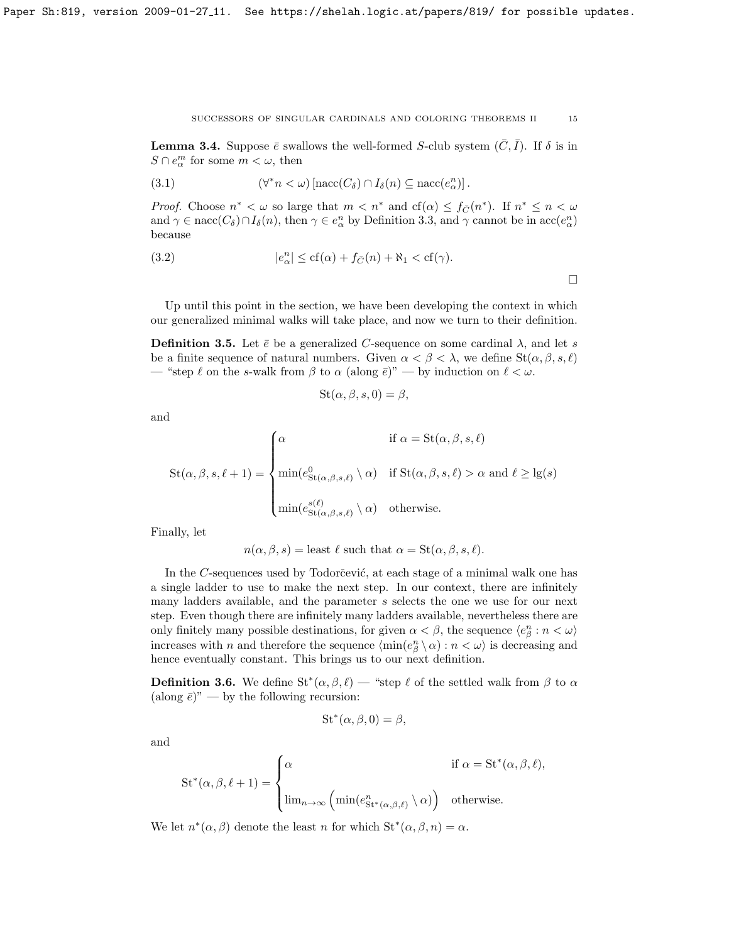<span id="page-14-1"></span>**Lemma 3.4.** Suppose  $\bar{e}$  swallows the well-formed S-club system  $(C, I)$ . If  $\delta$  is in  $S \cap e^m_\alpha$  for some  $m < \omega$ , then

(3.1) 
$$
(\forall^* n < \omega) \left[ \text{nacc}(C_\delta) \cap I_\delta(n) \subseteq \text{nacc}(e_\alpha^n) \right].
$$

*Proof.* Choose  $n^* < \omega$  so large that  $m < n^*$  and  $cf(\alpha) \leq f_{\overline{C}}(n^*)$ . If  $n^* \leq n < \omega$ and  $\gamma \in \text{nacc}(C_\delta) \cap I_\delta(n)$ , then  $\gamma \in e^n_\alpha$  by Definition [3.3,](#page-13-0) and  $\gamma$  cannot be in  $\text{acc}(e^n_\alpha)$ because

(3.2) 
$$
|e_{\alpha}^{n}| \leq cf(\alpha) + f_{\overline{C}}(n) + \aleph_{1} < cf(\gamma).
$$

Up until this point in the section, we have been developing the context in which our generalized minimal walks will take place, and now we turn to their definition.

<span id="page-14-0"></span>**Definition 3.5.** Let  $\bar{e}$  be a generalized C-sequence on some cardinal  $\lambda$ , and let s be a finite sequence of natural numbers. Given  $\alpha < \beta < \lambda$ , we define  $St(\alpha, \beta, s, \ell)$ — "step  $\ell$  on the s-walk from  $\beta$  to  $\alpha$  (along  $\bar{e}$ )" — by induction on  $\ell < \omega$ .

$$
St(\alpha, \beta, s, 0) = \beta,
$$

and

$$
St(\alpha, \beta, s, \ell + 1) = \begin{cases} \alpha & \text{if } \alpha = St(\alpha, \beta, s, \ell) \\ \min(e^0_{St(\alpha, \beta, s, \ell)} \setminus \alpha) & \text{if } St(\alpha, \beta, s, \ell) > \alpha \text{ and } \ell \geq lg(s) \\ \\ \min(e^{s(\ell)}_{St(\alpha, \beta, s, \ell)} \setminus \alpha) & \text{otherwise.} \end{cases}
$$

Finally, let

 $n(\alpha, \beta, s) =$  least  $\ell$  such that  $\alpha = \text{St}(\alpha, \beta, s, \ell).$ 

In the  $C$ -sequences used by Todorčević, at each stage of a minimal walk one has a single ladder to use to make the next step. In our context, there are infinitely many ladders available, and the parameter s selects the one we use for our next step. Even though there are infinitely many ladders available, nevertheless there are only finitely many possible destinations, for given  $\alpha < \beta$ , the sequence  $\langle e^n_\beta : n < \omega \rangle$ increases with n and therefore the sequence  $\langle \min(e_{\beta}^{n} \setminus \alpha) : n < \omega \rangle$  is decreasing and hence eventually constant. This brings us to our next definition.

**Definition 3.6.** We define  $St^*(\alpha, \beta, \ell)$  — "step  $\ell$  of the settled walk from  $\beta$  to  $\alpha$ (along  $\bar{e}$ )" — by the following recursion:

$$
St^*(\alpha, \beta, 0) = \beta,
$$

and

$$
\operatorname{St}^*(\alpha, \beta, \ell + 1) = \begin{cases} \alpha & \text{if } \alpha = \operatorname{St}^*(\alpha, \beta, \ell), \\ \lim_{n \to \infty} \left( \min(e_{\operatorname{St}^*(\alpha, \beta, \ell)}^n \setminus \alpha) \right) & \text{otherwise.} \end{cases}
$$

We let  $n^*(\alpha, \beta)$  denote the least n for which  $\mathrm{St}^*(\alpha, \beta, n) = \alpha$ .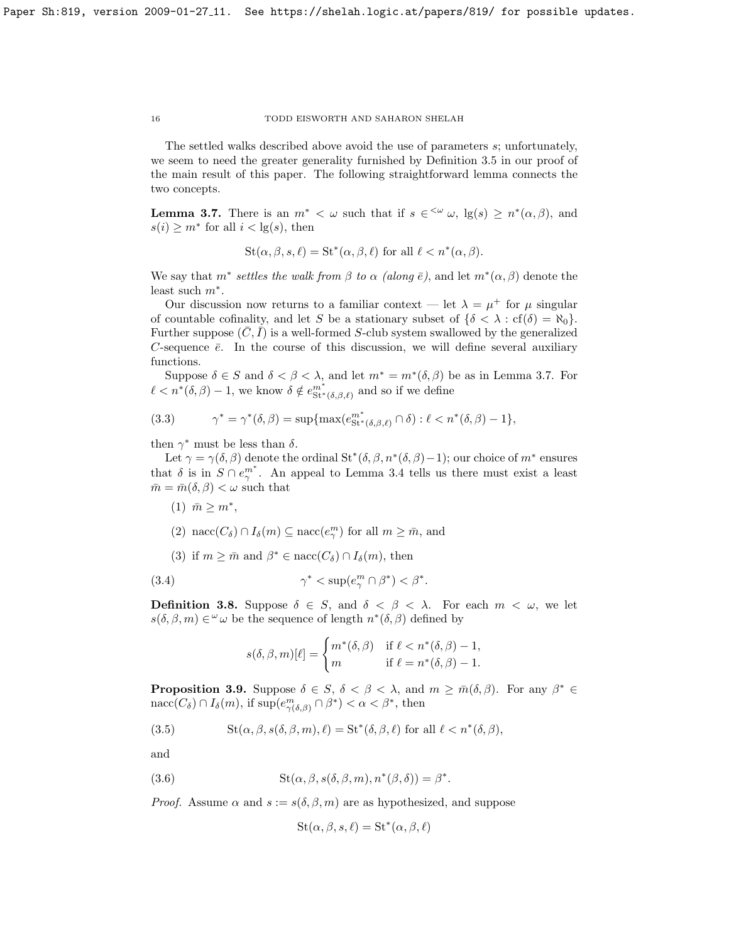The settled walks described above avoid the use of parameters s; unfortunately, we seem to need the greater generality furnished by Definition [3.5](#page-14-0) in our proof of the main result of this paper. The following straightforward lemma connects the two concepts.

<span id="page-15-0"></span>**Lemma 3.7.** There is an  $m^* < \omega$  such that if  $s \in \langle \omega, \log(s) \rangle \geq n^*(\alpha, \beta)$ , and  $s(i) \geq m^*$  for all  $i < \lg(s)$ , then

$$
St(\alpha, \beta, s, \ell) = St^*(\alpha, \beta, \ell) \text{ for all } \ell < n^*(\alpha, \beta).
$$

We say that  $m^*$  settles the walk from  $\beta$  to  $\alpha$  (along  $\bar{e}$ ), and let  $m^*(\alpha, \beta)$  denote the least such  $m^*$ .

Our discussion now returns to a familiar context – let  $\lambda = \mu^+$  for  $\mu$  singular of countable cofinality, and let S be a stationary subset of  $\{\delta \leq \lambda : cf(\delta) = \aleph_0\}$ . Further suppose  $(\bar{C}, \bar{I})$  is a well-formed S-club system swallowed by the generalized C-sequence  $\bar{e}$ . In the course of this discussion, we will define several auxiliary functions.

Suppose  $\delta \in S$  and  $\delta < \beta < \lambda$ , and let  $m^* = m^*(\delta, \beta)$  be as in Lemma [3.7.](#page-15-0) For  $\ell < n^*(\delta, \beta) - 1$ , we know  $\delta \notin e^{m^*}_{\mathsf{St}^*(\delta, \beta, \ell)}$  and so if we define

<span id="page-15-1"></span>(3.3) 
$$
\gamma^* = \gamma^*(\delta, \beta) = \sup \{ \max(e_{\text{St}^*(\delta, \beta, \ell)}^{m^*} \cap \delta) : \ell < n^*(\delta, \beta) - 1 \},
$$

then  $\gamma^*$  must be less than  $\delta$ .

Let  $\gamma = \gamma(\delta, \beta)$  denote the ordinal St<sup>\*</sup>( $\delta, \beta, n^*(\delta, \beta) - 1$ ); our choice of  $m^*$  ensures that  $\delta$  is in  $S \cap e_{\gamma}^{m^*}$ . An appeal to Lemma [3.4](#page-14-1) tells us there must exist a least  $\bar{m} = \bar{m}(\delta, \beta) < \omega$  such that

 $(1)$   $\bar{m} \geq m^*$ , (2) nacc $(C_{\delta}) \cap I_{\delta}(m) \subseteq \text{nacc}(e_{\gamma}^{m})$  for all  $m \geq \bar{m}$ , and (3) if  $m \geq \overline{m}$  and  $\beta^* \in \text{nacc}(C_{\delta}) \cap I_{\delta}(m)$ , then

(3.4) 
$$
\gamma^* < \sup(e_\gamma^m \cap \beta^*) < \beta^*.
$$

**Definition 3.8.** Suppose  $\delta \in S$ , and  $\delta < \beta < \lambda$ . For each  $m < \omega$ , we let  $s(\delta, \beta, m) \in \omega$  be the sequence of length  $n^*(\delta, \beta)$  defined by

$$
s(\delta, \beta, m)[\ell] = \begin{cases} m^*(\delta, \beta) & \text{if } \ell < n^*(\delta, \beta) - 1, \\ m & \text{if } \ell = n^*(\delta, \beta) - 1. \end{cases}
$$

<span id="page-15-2"></span>**Proposition 3.9.** Suppose  $\delta \in S$ ,  $\delta < \beta < \lambda$ , and  $m \geq \overline{m}(\delta, \beta)$ . For any  $\beta^* \in$  $n\mathrm{mac}(C_\delta) \cap I_\delta(m)$ , if  $\sup(e_{\gamma(\delta,\beta)}^m \cap \beta^*) < \alpha < \beta^*$ , then

(3.5) 
$$
St(\alpha, \beta, s(\delta, \beta, m), \ell) = St^*(\delta, \beta, \ell) \text{ for all } \ell < n^*(\delta, \beta),
$$

and

(3.6) 
$$
St(\alpha, \beta, s(\delta, \beta, m), n^*(\beta, \delta)) = \beta^*.
$$

*Proof.* Assume  $\alpha$  and  $s := s(\delta, \beta, m)$  are as hypothesized, and suppose

$$
St(\alpha, \beta, s, \ell) = St^*(\alpha, \beta, \ell)
$$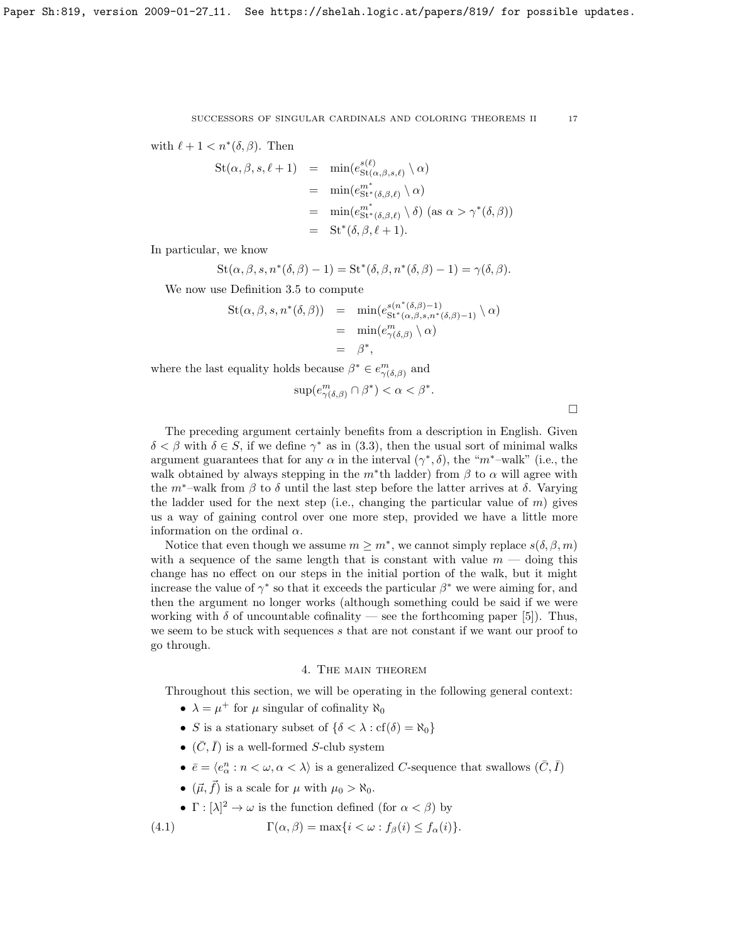with 
$$
\ell + 1 < n^*(\delta, \beta)
$$
. Then

$$
St(\alpha, \beta, s, \ell + 1) = \min(e_{St(\alpha, \beta, s, \ell)}^{s(\ell)} \setminus \alpha)
$$
  
= 
$$
\min(e_{St^*(\delta, \beta, \ell)}^{m^*} \setminus \alpha)
$$
  
= 
$$
\min(e_{St^*(\delta, \beta, \ell)}^{m^*} \setminus \delta) \text{ (as } \alpha > \gamma^*(\delta, \beta))
$$
  
= 
$$
St^*(\delta, \beta, \ell + 1).
$$

In particular, we know

$$
St(\alpha, \beta, s, n^*(\delta, \beta) - 1) = St^*(\delta, \beta, n^*(\delta, \beta) - 1) = \gamma(\delta, \beta).
$$

We now use Definition [3.5](#page-14-0) to compute

$$
St(\alpha, \beta, s, n^*(\delta, \beta)) = \min(e_{St^*(\alpha, \beta, s, n^*(\delta, \beta)-1)}^{s(n^*(\delta, \beta)-1)} \setminus \alpha)
$$
  
= 
$$
\min(e_{\gamma(\delta, \beta)}^m \setminus \alpha)
$$
  
= 
$$
\beta^*,
$$

where the last equality holds because  $\beta^* \in e^m_{\gamma(\delta,\beta)}$  and

$$
\sup(e^m_{\gamma(\delta,\beta)} \cap \beta^*) < \alpha < \beta^*.
$$

 $\Box$ 

The preceding argument certainly benefits from a description in English. Given  $\delta < \beta$  with  $\delta \in S$ , if we define  $\gamma^*$  as in [\(3.3\)](#page-15-1), then the usual sort of minimal walks argument guarantees that for any  $\alpha$  in the interval  $(\gamma^*, \delta)$ , the " $m^*$ -walk" (i.e., the walk obtained by always stepping in the  $m^*$ th ladder) from  $\beta$  to  $\alpha$  will agree with the  $m^*$ –walk from  $\beta$  to  $\delta$  until the last step before the latter arrives at  $\delta$ . Varying the ladder used for the next step (i.e., changing the particular value of  $m$ ) gives us a way of gaining control over one more step, provided we have a little more information on the ordinal  $\alpha$ .

Notice that even though we assume  $m \geq m^*$ , we cannot simply replace  $s(\delta, \beta, m)$ with a sequence of the same length that is constant with value  $m -$  doing this change has no effect on our steps in the initial portion of the walk, but it might increase the value of  $\gamma^*$  so that it exceeds the particular  $\beta^*$  we were aiming for, and then the argument no longer works (although something could be said if we were working with  $\delta$  of uncountable cofinality — see the forthcoming paper [\[5\]](#page-21-6)). Thus, we seem to be stuck with sequences s that are not constant if we want our proof to go through.

## 4. The main theorem

Throughout this section, we will be operating in the following general context:

- $\lambda = \mu^+$  for  $\mu$  singular of cofinality  $\aleph_0$
- S is a stationary subset of  $\{\delta < \lambda : \text{cf}(\delta) = \aleph_0\}$
- $(\bar{C}, \bar{I})$  is a well-formed S-club system
- $\bar e=\langle e^n_\alpha:n<\omega,\alpha<\lambda\rangle$  is a generalized  $C\text{-sequence that swallows }(\bar C,\bar I)$
- $(\vec{\mu}, \vec{f})$  is a scale for  $\mu$  with  $\mu_0 > \aleph_0$ .
- $\Gamma : [\lambda]^2 \to \omega$  is the function defined (for  $\alpha < \beta$ ) by

(4.1) 
$$
\Gamma(\alpha, \beta) = \max\{i < \omega : f_{\beta}(i) \le f_{\alpha}(i)\}.
$$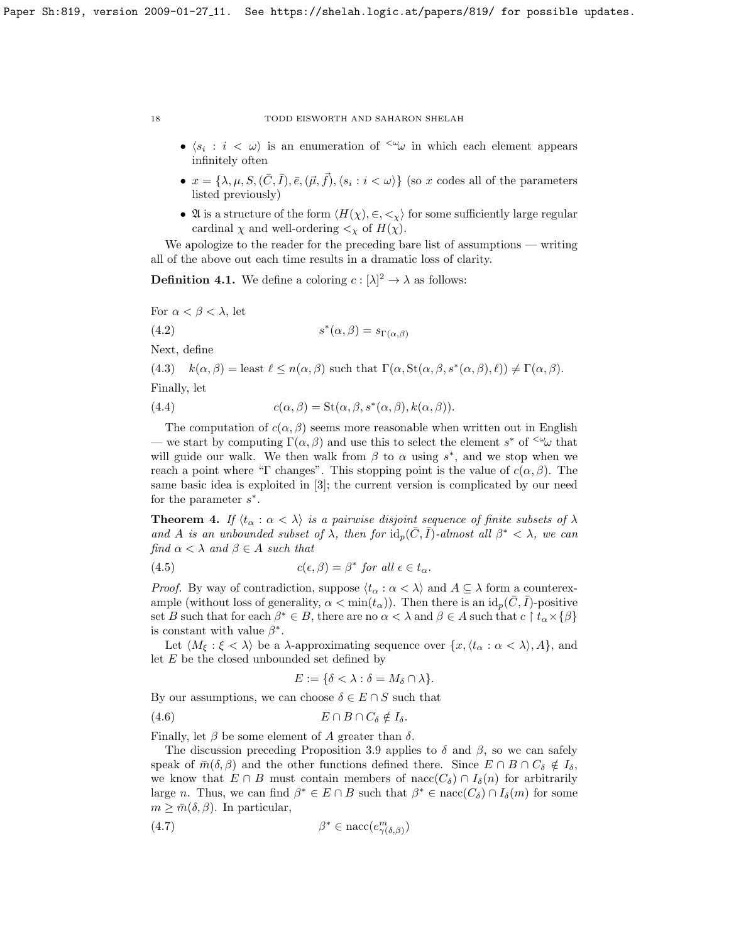- $\langle s_i : i \langle \omega \rangle$  is an enumeration of  $\langle \omega \rangle$  in which each element appears infinitely often
- $x = \{\lambda, \mu, S, (\bar{C}, \bar{I}), \bar{e}, (\vec{\mu}, \vec{f}), \langle s_i : i \langle \omega \rangle\}$  (so x codes all of the parameters listed previously)
- At is a structure of the form  $\langle H(\chi), \in, \leq \chi \rangle$  for some sufficiently large regular cardinal  $\chi$  and well-ordering  $\lt_{\chi}$  of  $H(\chi)$ .

We apologize to the reader for the preceding bare list of assumptions — writing all of the above out each time results in a dramatic loss of clarity.

**Definition 4.1.** We define a coloring  $c : [\lambda]^2 \to \lambda$  as follows:

For  $\alpha < \beta < \lambda$ , let

$$
s^*(\alpha,\beta) = s_{\Gamma(\alpha,\beta)}
$$

Next, define

 $(4.2)$ 

(4.3)  $k(\alpha, \beta) =$  least  $\ell \leq n(\alpha, \beta)$  such that  $\Gamma(\alpha, \text{St}(\alpha, \beta, s^*(\alpha, \beta), \ell)) \neq \Gamma(\alpha, \beta)$ .

Finally, let

(4.4) 
$$
c(\alpha, \beta) = \text{St}(\alpha, \beta, s^*(\alpha, \beta), k(\alpha, \beta)).
$$

The computation of  $c(\alpha, \beta)$  seems more reasonable when written out in English — we start by computing  $\Gamma(\alpha, \beta)$  and use this to select the element s<sup>\*</sup> of <sup>< $\omega$ </sup> that will guide our walk. We then walk from  $\beta$  to  $\alpha$  using  $s^*$ , and we stop when we reach a point where "Γ changes". This stopping point is the value of  $c(\alpha, \beta)$ . The same basic idea is exploited in [\[3\]](#page-21-1); the current version is complicated by our need for the parameter  $s^*$ .

<span id="page-17-0"></span>**Theorem 4.** If  $\langle t_{\alpha} : \alpha < \lambda \rangle$  is a pairwise disjoint sequence of finite subsets of  $\lambda$ and A is an unbounded subset of  $\lambda$ , then for  $\mathrm{id}_p(\bar{C}, \bar{I})$ -almost all  $\beta^* < \lambda$ , we can find  $\alpha < \lambda$  and  $\beta \in A$  such that

(4.5) 
$$
c(\epsilon, \beta) = \beta^* \text{ for all } \epsilon \in t_\alpha.
$$

*Proof.* By way of contradiction, suppose  $\langle t_{\alpha} : \alpha < \lambda \rangle$  and  $A \subseteq \lambda$  form a counterexample (without loss of generality,  $\alpha < \min(t_\alpha)$ ). Then there is an  $id_p(\bar{C}, \bar{I})$ -positive set B such that for each  $\beta^* \in B$ , there are no  $\alpha < \lambda$  and  $\beta \in A$  such that  $c \restriction t_\alpha \times {\beta}$ is constant with value  $\beta^*$ .

Let  $\langle M_{\xi} : \xi < \lambda \rangle$  be a  $\lambda$ -approximating sequence over  $\{x, \langle t_{\alpha} : \alpha < \lambda \rangle, A\}$ , and let  $E$  be the closed unbounded set defined by

$$
E := \{ \delta < \lambda : \delta = M_{\delta} \cap \lambda \}.
$$

By our assumptions, we can choose  $\delta \in E \cap S$  such that

$$
(4.6) \t\t\t\t E \cap B \cap C_{\delta} \notin I_{\delta}.
$$

Finally, let  $\beta$  be some element of A greater than  $\delta$ .

The discussion preceding Proposition [3.9](#page-15-2) applies to  $\delta$  and  $\beta$ , so we can safely speak of  $\bar{m}(\delta, \beta)$  and the other functions defined there. Since  $E \cap B \cap C_{\delta} \notin I_{\delta}$ , we know that  $E \cap B$  must contain members of nacc $(C_{\delta}) \cap I_{\delta}(n)$  for arbitrarily large *n*. Thus, we can find  $\beta^* \in E \cap B$  such that  $\beta^* \in \text{nacc}(C_\delta) \cap I_\delta(m)$  for some  $m \geq \bar{m}(\delta, \beta)$ . In particular,

$$
(4.7) \qquad \beta^* \in \text{nacc}(e^m_{\gamma(\delta,\beta)})
$$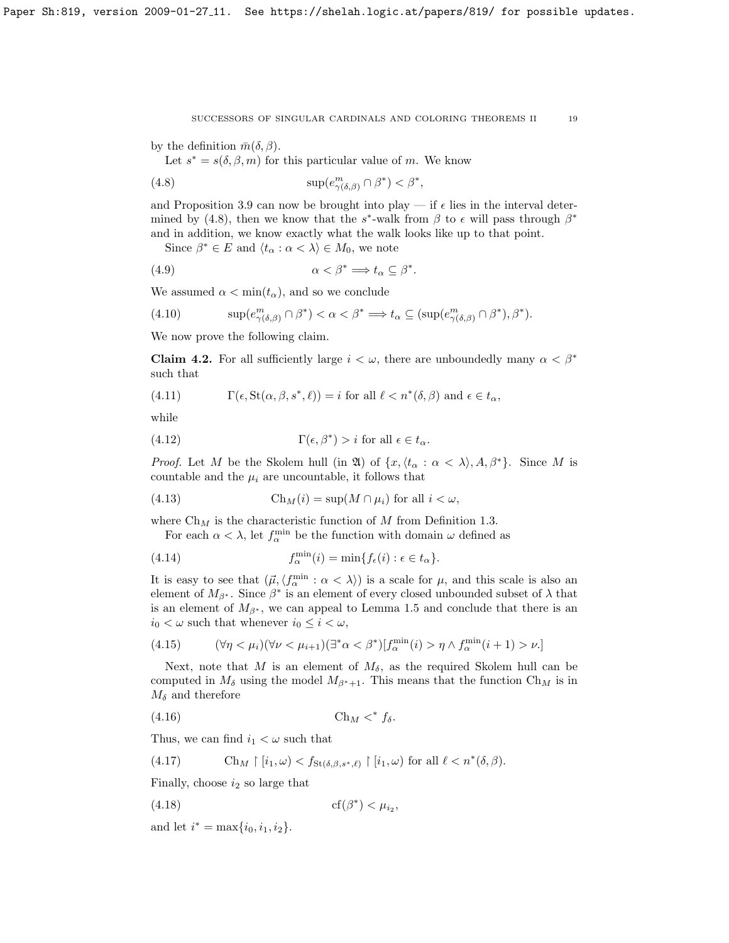by the definition  $\bar{m}(\delta, \beta)$ .

<span id="page-18-0"></span>Let  $s^* = s(\delta, \beta, m)$  for this particular value of m. We know

(4.8) 
$$
\sup(e^m_{\gamma(\delta,\beta)} \cap \beta^*) < \beta^*,
$$

and Proposition [3.9](#page-15-2) can now be brought into play — if  $\epsilon$  lies in the interval deter-mined by [\(4.8\)](#page-18-0), then we know that the  $s^*$ -walk from  $\beta$  to  $\epsilon$  will pass through  $\beta^*$ and in addition, we know exactly what the walk looks like up to that point.

Since  $\beta^* \in E$  and  $\langle t_\alpha : \alpha < \lambda \rangle \in M_0$ , we note

(4.9) α < β<sup>∗</sup> =⇒ t<sup>α</sup> ⊆ β ∗ .

We assumed  $\alpha < \min(t_\alpha)$ , and so we conclude

(4.10) 
$$
\sup(e_{\gamma(\delta,\beta)}^m \cap \beta^*) < \alpha < \beta^* \implies t_\alpha \subseteq (\sup(e_{\gamma(\delta,\beta)}^m \cap \beta^*), \beta^*).
$$

We now prove the following claim.

**Claim 4.2.** For all sufficiently large  $i < \omega$ , there are unboundedly many  $\alpha < \beta^*$ such that

<span id="page-18-1"></span>(4.11) 
$$
\Gamma(\epsilon, \text{St}(\alpha, \beta, s^*, \ell)) = i \text{ for all } \ell < n^*(\delta, \beta) \text{ and } \epsilon \in t_\alpha,
$$

while

<span id="page-18-2"></span>(4.12) 
$$
\Gamma(\epsilon, \beta^*) > i \text{ for all } \epsilon \in t_\alpha.
$$

*Proof.* Let M be the Skolem hull (in  $\mathfrak{A}$ ) of  $\{x, \langle t_\alpha : \alpha < \lambda \rangle, A, \beta^*\}$ . Since M is countable and the  $\mu_i$  are uncountable, it follows that

(4.13) 
$$
\operatorname{Ch}_M(i) = \sup(M \cap \mu_i) \text{ for all } i < \omega,
$$

where  $\mathrm{Ch}_M$  is the characteristic function of M from Definition [1.3.](#page-1-0)

For each  $\alpha < \lambda$ , let  $f_{\alpha}^{\min}$  be the function with domain  $\omega$  defined as

(4.14) 
$$
f_{\alpha}^{\min}(i) = \min\{f_{\epsilon}(i) : \epsilon \in t_{\alpha}\}.
$$

It is easy to see that  $(\vec{\mu}, \langle f_\alpha^{\min} : \alpha < \lambda \rangle)$  is a scale for  $\mu$ , and this scale is also an element of  $M_{\beta^*}$ . Since  $\beta^*$  is an element of every closed unbounded subset of  $\lambda$  that is an element of  $M_{\beta^*}$ , we can appeal to Lemma [1.5](#page-2-0) and conclude that there is an  $i_0 < \omega$  such that whenever  $i_0 \leq i < \omega$ ,

<span id="page-18-3"></span>(4.15) 
$$
(\forall \eta < \mu_i)(\forall \nu < \mu_{i+1})(\exists^* \alpha < \beta^*)[f_{\alpha}^{\min}(i) > \eta \wedge f_{\alpha}^{\min}(i+1) > \nu.]
$$

Next, note that M is an element of  $M_{\delta}$ , as the required Skolem hull can be computed in  $M_\delta$  using the model  $M_{\beta^*+1}$ . This means that the function Ch<sub>M</sub> is in  $M_{\delta}$  and therefore

$$
(4.16) \t\t\t Ch_M <^* f_\delta.
$$

Thus, we can find  $i_1 < \omega$  such that

<span id="page-18-5"></span>(4.17) 
$$
\operatorname{Ch}_M \upharpoonright [i_1, \omega) < f_{\operatorname{St}(\delta, \beta, s^*, \ell)} \upharpoonright [i_1, \omega) \text{ for all } \ell < n^*(\delta, \beta).
$$

Finally, choose  $i_2$  so large that

<span id="page-18-4"></span>
$$
(4.18) \t\t \t\t \t\t \t\t\t cf(\beta^*) < \mu_{i_2},
$$

and let  $i^* = \max\{i_0, i_1, i_2\}.$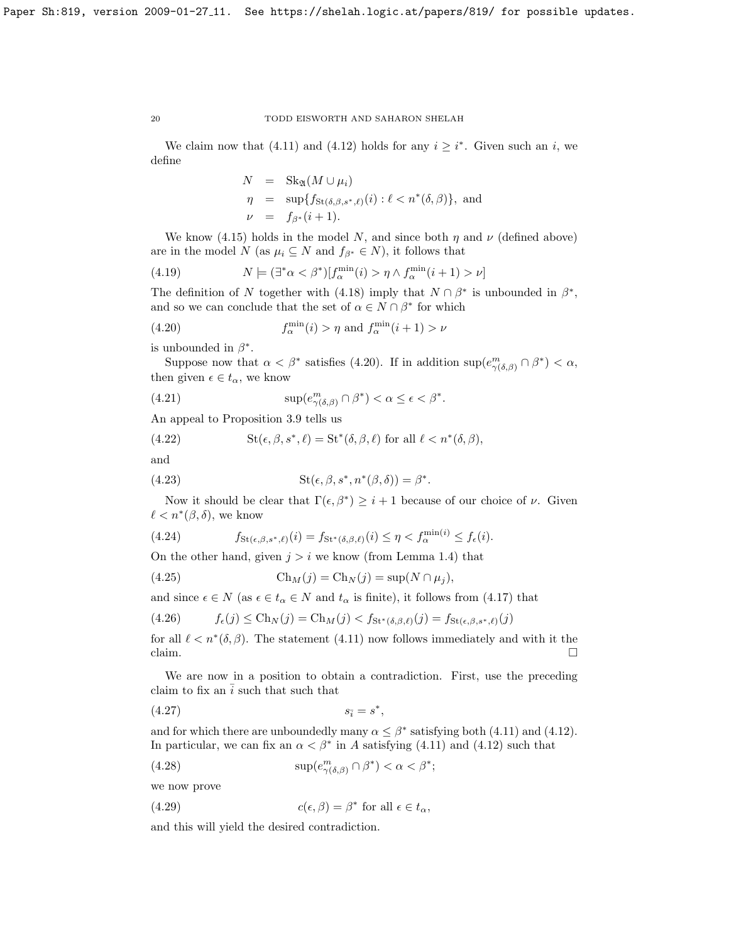We claim now that [\(4.11\)](#page-18-1) and [\(4.12\)](#page-18-2) holds for any  $i \geq i^*$ . Given such an i, we define

$$
N = \text{Sk}_{\mathfrak{A}}(M \cup \mu_i)
$$
  
\n
$$
\eta = \sup \{ f_{\text{St}(\delta,\beta,s^*,\ell)}(i) : \ell < n^*(\delta,\beta) \}, \text{ and}
$$
  
\n
$$
\nu = f_{\beta^*}(i+1).
$$

We know [\(4.15\)](#page-18-3) holds in the model N, and since both  $\eta$  and  $\nu$  (defined above) are in the model N (as  $\mu_i \subseteq N$  and  $f_{\beta^*} \in N$ ), it follows that

(4.19) 
$$
N \models (\exists^* \alpha < \beta^*) [f_\alpha^{\min}(i) > \eta \land f_\alpha^{\min}(i+1) > \nu]
$$

The definition of N together with [\(4.18\)](#page-18-4) imply that  $N \cap \beta^*$  is unbounded in  $\beta^*$ , and so we can conclude that the set of  $\alpha \in N \cap \beta^*$  for which

<span id="page-19-0"></span>(4.20) 
$$
f_{\alpha}^{\min}(i) > \eta \text{ and } f_{\alpha}^{\min}(i+1) > \nu
$$

is unbounded in  $\beta^*$ .

Suppose now that  $\alpha < \beta^*$  satisfies [\(4.20\)](#page-19-0). If in addition  $\sup(e_{\gamma(\delta,\beta)}^m \cap \beta^*) < \alpha$ , then given  $\epsilon \in t_{\alpha}$ , we know

(4.21) 
$$
\sup(e^m_{\gamma(\delta,\beta)} \cap \beta^*) < \alpha \le \epsilon < \beta^*.
$$

An appeal to Proposition [3.9](#page-15-2) tells us

(4.22) 
$$
St(\epsilon, \beta, s^*, \ell) = St^*(\delta, \beta, \ell) \text{ for all } \ell < n^*(\delta, \beta),
$$

and

(4.23) 
$$
St(\epsilon, \beta, s^*, n^*(\beta, \delta)) = \beta^*.
$$

Now it should be clear that  $\Gamma(\epsilon, \beta^*) \geq i+1$  because of our choice of  $\nu$ . Given  $\ell < n^*(\beta, \delta)$ , we know

(4.24) 
$$
f_{\mathrm{St}(\epsilon,\beta,s^*,\ell)}(i) = f_{\mathrm{St}^*(\delta,\beta,\ell)}(i) \leq \eta < f_\alpha^{\min(i)} \leq f_\epsilon(i).
$$

On the other hand, given  $j > i$  we know (from Lemma [1.4\)](#page-2-1) that

(4.25) 
$$
\operatorname{Ch}_M(j) = \operatorname{Ch}_N(j) = \sup(N \cap \mu_j),
$$

and since  $\epsilon \in N$  (as  $\epsilon \in t_\alpha \in N$  and  $t_\alpha$  is finite), it follows from [\(4.17\)](#page-18-5) that

$$
(4.26) \t f_{\epsilon}(j) \leq Ch_N(j) = Ch_M(j) < f_{\mathrm{St}^*(\delta,\beta,\ell)}(j) = f_{\mathrm{St}(\epsilon,\beta,s^*,\ell)}(j)
$$

for all  $\ell < n^*(\delta, \beta)$ . The statement [\(4.11\)](#page-18-1) now follows immediately and with it the  $\Box$ claim.

We are now in a position to obtain a contradiction. First, use the preceding claim to fix an  $\overline{i}$  such that such that

$$
(4.27) \t\t s_{\overline{i}} = s^*,
$$

and for which there are unboundedly many  $\alpha \leq \beta^*$  satisfying both [\(4.11\)](#page-18-1) and [\(4.12\)](#page-18-2). In particular, we can fix an  $\alpha < \beta^*$  in A satisfying [\(4.11\)](#page-18-1) and [\(4.12\)](#page-18-2) such that

(4.28) 
$$
\sup(e_{\gamma(\delta,\beta)}^m \cap \beta^*) < \alpha < \beta^*;
$$

we now prove

(4.29) 
$$
c(\epsilon, \beta) = \beta^* \text{ for all } \epsilon \in t_\alpha,
$$

and this will yield the desired contradiction.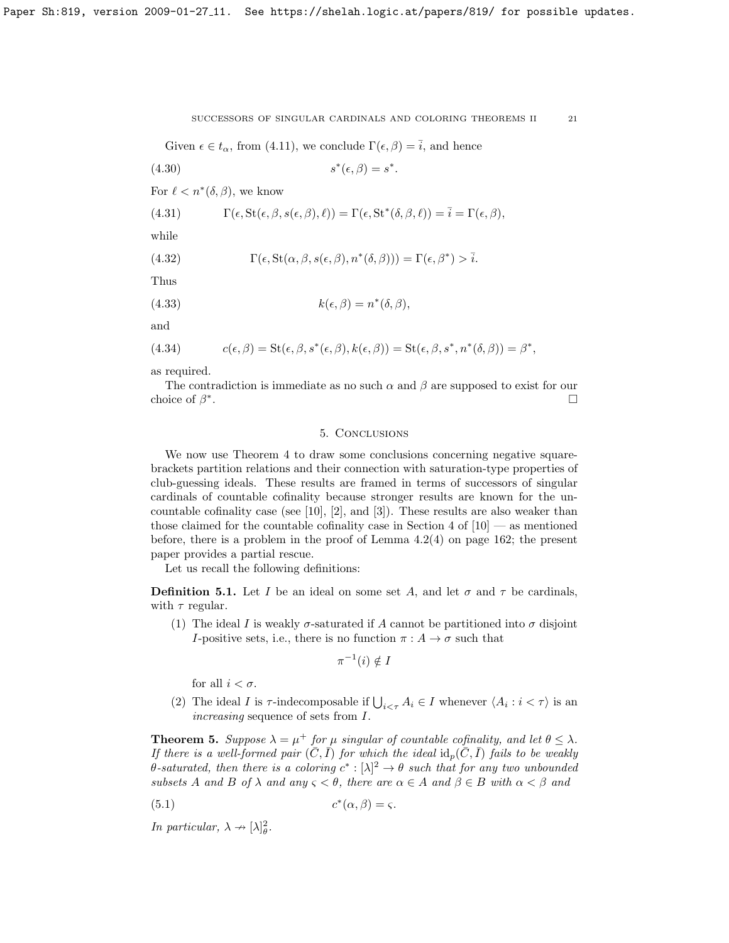Given  $\epsilon \in t_{\alpha}$ , from [\(4.11\)](#page-18-1), we conclude  $\Gamma(\epsilon, \beta) = \overline{i}$ , and hence

$$
(4.30) \t\t s^*(\epsilon, \beta) = s^*.
$$

For  $\ell < n^*(\delta, \beta)$ , we know

(4.31) 
$$
\Gamma(\epsilon, \text{St}(\epsilon, \beta, s(\epsilon, \beta), \ell)) = \Gamma(\epsilon, \text{St}^*(\delta, \beta, \ell)) = \overline{i} = \Gamma(\epsilon, \beta),
$$

while

(4.32) 
$$
\Gamma(\epsilon, \text{St}(\alpha, \beta, s(\epsilon, \beta), n^*(\delta, \beta))) = \Gamma(\epsilon, \beta^*) > \overline{i}.
$$

Thus

(4.33) 
$$
k(\epsilon, \beta) = n^*(\delta, \beta),
$$

and

(4.34) 
$$
c(\epsilon, \beta) = \text{St}(\epsilon, \beta, s^*(\epsilon, \beta), k(\epsilon, \beta)) = \text{St}(\epsilon, \beta, s^*, n^*(\delta, \beta)) = \beta^*,
$$

as required.

The contradiction is immediate as no such  $\alpha$  and  $\beta$  are supposed to exist for our choice of  $\beta^*$ .

## 5. Conclusions

We now use Theorem [4](#page-17-0) to draw some conclusions concerning negative squarebrackets partition relations and their connection with saturation-type properties of club-guessing ideals. These results are framed in terms of successors of singular cardinals of countable cofinality because stronger results are known for the un-countable cofinality case (see [\[10\]](#page-22-0), [\[2\]](#page-21-0), and [\[3\]](#page-21-1)). These results are also weaker than those claimed for the countable cofinality case in Section 4 of  $[10]$  — as mentioned before, there is a problem in the proof of Lemma 4.2(4) on page 162; the present paper provides a partial rescue.

Let us recall the following definitions:

**Definition 5.1.** Let I be an ideal on some set A, and let  $\sigma$  and  $\tau$  be cardinals, with  $\tau$  regular.

(1) The ideal I is weakly  $\sigma$ -saturated if A cannot be partitioned into  $\sigma$  disjoint I-positive sets, i.e., there is no function  $\pi: A \to \sigma$  such that

$$
\pi^{-1}(i) \notin I
$$

for all  $i < \sigma$ .

(2) The ideal I is  $\tau$ -indecomposable if  $\bigcup_{i \leq \tau} A_i \in I$  whenever  $\langle A_i : i \leq \tau \rangle$  is an increasing sequence of sets from I.

<span id="page-20-0"></span>**Theorem 5.** Suppose  $\lambda = \mu^+$  for  $\mu$  singular of countable cofinality, and let  $\theta \leq \lambda$ . If there is a well-formed pair  $(\overline{C}, \overline{I})$  for which the ideal  $\mathrm{id}_p(\overline{C}, \overline{I})$  fails to be weakly θ-saturated, then there is a coloring  $c^*$  : [λ]<sup>2</sup> → θ such that for any two unbounded subsets A and B of  $\lambda$  and any  $\varsigma < \theta$ , there are  $\alpha \in A$  and  $\beta \in B$  with  $\alpha < \beta$  and

$$
(5.1) \t\t c^*(\alpha, \beta) = \varsigma.
$$

In particular,  $\lambda \rightarrow [\lambda]_{\theta}^2$ .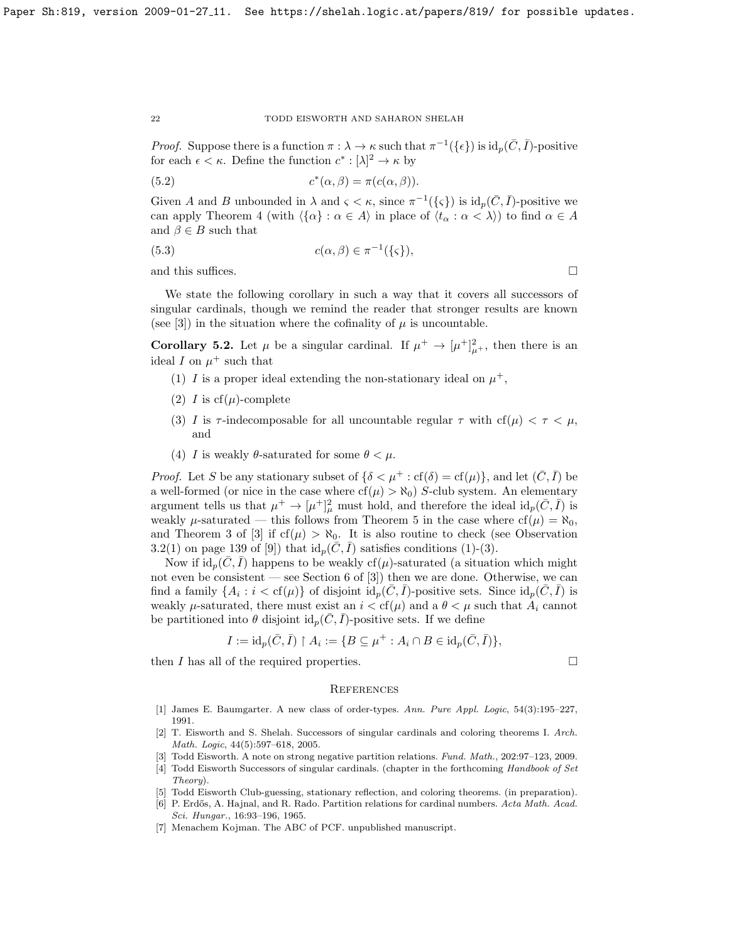*Proof.* Suppose there is a function  $\pi : \lambda \to \kappa$  such that  $\pi^{-1}(\{\epsilon\})$  is  $\mathrm{id}_p(\bar{C}, \bar{I})$ -positive for each  $\epsilon < \kappa$ . Define the function  $c^* : [\lambda]^2 \to \kappa$  by

(5.2) 
$$
c^*(\alpha, \beta) = \pi(c(\alpha, \beta)).
$$

Given A and B unbounded in  $\lambda$  and  $\varsigma < \kappa$ , since  $\pi^{-1}(\{\varsigma\})$  is  $\mathrm{id}_p(\bar{C}, \bar{I})$ -positive we can apply Theorem [4](#page-17-0) (with  $\langle {\{\alpha\}} : \alpha \in A \rangle$  in place of  $\langle t_\alpha : \alpha < \lambda \rangle$ ) to find  $\alpha \in A$ and  $\beta \in B$  such that

(5.3) 
$$
c(\alpha, \beta) \in \pi^{-1}(\{\varsigma\}),
$$

and this suffices.  $\hfill \square$ 

We state the following corollary in such a way that it covers all successors of singular cardinals, though we remind the reader that stronger results are known (see [\[3\]](#page-21-1)) in the situation where the cofinality of  $\mu$  is uncountable.

**Corollary 5.2.** Let  $\mu$  be a singular cardinal. If  $\mu^+ \to [\mu^+]_{\mu^+}^2$ , then there is an ideal I on  $\mu^+$  such that

- (1) I is a proper ideal extending the non-stationary ideal on  $\mu^+$ ,
- (2) I is  $cf(\mu)$ -complete
- (3) I is  $\tau$ -indecomposable for all uncountable regular  $\tau$  with  $cf(\mu) < \tau < \mu$ , and
- (4) I is weakly  $\theta$ -saturated for some  $\theta < \mu$ .

*Proof.* Let S be any stationary subset of  $\{\delta \lt \mu^+ : \text{cf}(\delta) = \text{cf}(\mu)\}\)$ , and let  $(\bar{C}, \bar{I})$  be a well-formed (or nice in the case where  $cf(\mu) > \aleph_0$ ) S-club system. An elementary argument tells us that  $\mu^+ \to [\mu^+]_\mu^2$  must hold, and therefore the ideal  $id_p(\bar{C}, \bar{I})$  is weakly  $\mu$ -saturated — this follows from Theorem [5](#page-20-0) in the case where  $cf(\mu) = \aleph_0$ , and Theorem 3 of [\[3\]](#page-21-1) if  $cf(\mu) > \aleph_0$ . It is also routine to check (see Observation 3.2(1) on page 139 of [\[9\]](#page-22-1)) that  $\mathrm{id}_p(C, I)$  satisfies conditions (1)-(3).

Now if  $\mathrm{id}_p(C, I)$  happens to be weakly cf( $\mu$ )-saturated (a situation which might not even be consistent — see Section 6 of [\[3\]](#page-21-1)) then we are done. Otherwise, we can find a family  $\{A_i : i < \text{cf}(\mu)\}\$  of disjoint  $\text{id}_p(\bar{C}, \bar{I})$ -positive sets. Since  $\text{id}_p(\bar{C}, \bar{I})$  is weakly  $\mu$ -saturated, there must exist an  $i < cf(\mu)$  and a  $\theta < \mu$  such that  $A_i$  cannot be partitioned into  $\theta$  disjoint  $\mathrm{id}_n(\overline{C}, \overline{I})$ -positive sets. If we define

$$
I := \mathrm{id}_p(\bar{C}, \bar{I}) \upharpoonright A_i := \{ B \subseteq \mu^+ : A_i \cap B \in \mathrm{id}_p(\bar{C}, \bar{I}) \},
$$

then  $I$  has all of the required properties.  $\Box$ 

## **REFERENCES**

- <span id="page-21-3"></span>[1] James E. Baumgarter. A new class of order-types. Ann. Pure Appl. Logic, 54(3):195–227, 1991.
- <span id="page-21-0"></span>[2] T. Eisworth and S. Shelah. Successors of singular cardinals and coloring theorems I. Arch. Math. Logic, 44(5):597–618, 2005.
- <span id="page-21-1"></span>[3] Todd Eisworth. A note on strong negative partition relations. Fund. Math., 202:97–123, 2009.
- <span id="page-21-4"></span>[4] Todd Eisworth Successors of singular cardinals. (chapter in the forthcoming Handbook of Set Theory).
- <span id="page-21-6"></span>[5] Todd Eisworth Club-guessing, stationary reflection, and coloring theorems. (in preparation).
- <span id="page-21-2"></span>[6] P. Erdős, A. Hajnal, and R. Rado. Partition relations for cardinal numbers. Acta Math. Acad. Sci. Hungar., 16:93–196, 1965.
- <span id="page-21-5"></span>[7] Menachem Kojman. The ABC of PCF. unpublished manuscript.